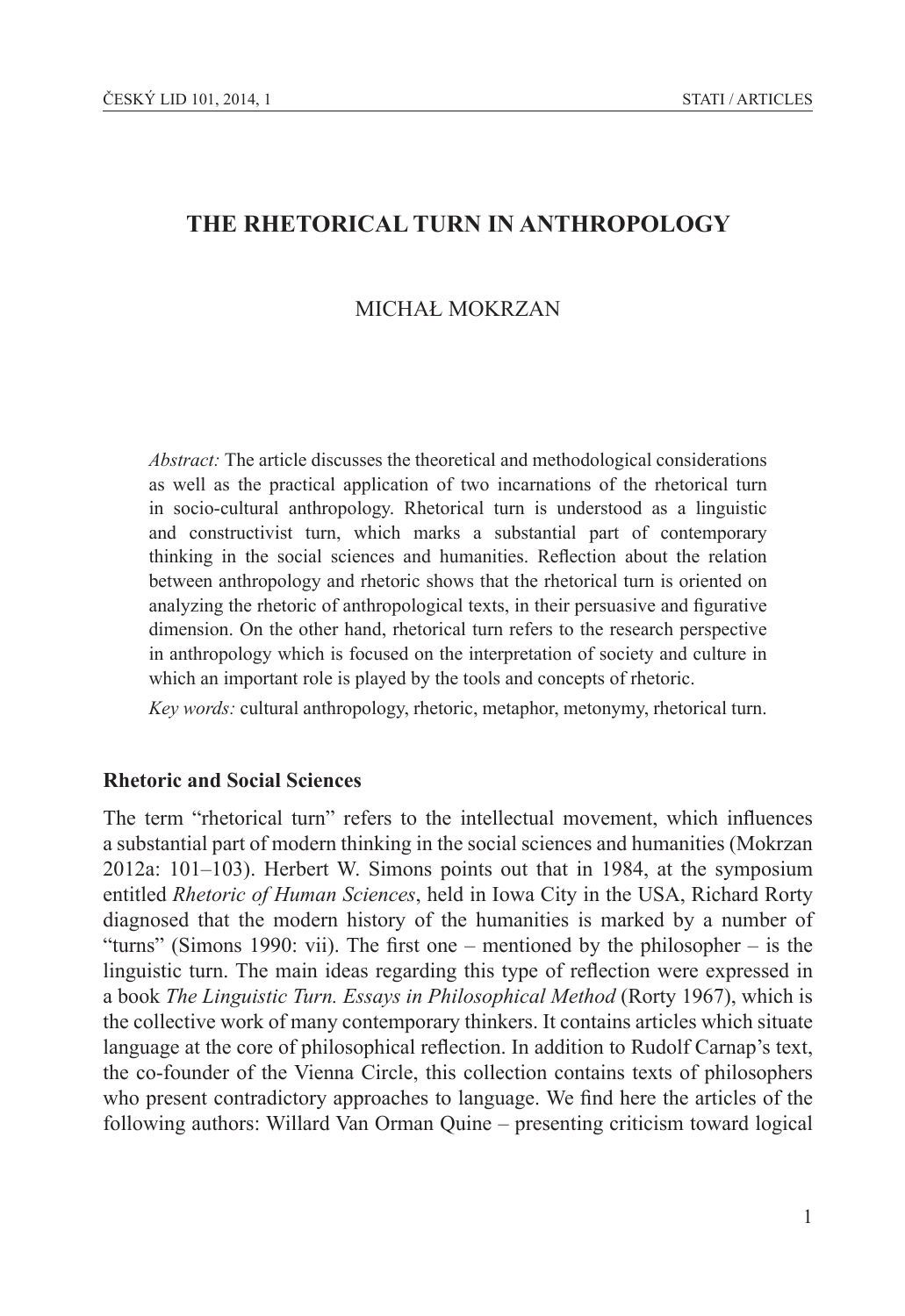# **The Rhetorical Turn in Anthropology**

## Michał Mokrzan

*Abstract:* The article discusses the theoretical and methodological considerations as well as the practical application of two incarnations of the rhetorical turn in socio-cultural anthropology. Rhetorical turn is understood as a linguistic and constructivist turn, which marks a substantial part of contemporary thinking in the social sciences and humanities. Reflection about the relation between anthropology and rhetoric shows that the rhetorical turn is oriented on analyzing the rhetoric of anthropological texts, in their persuasive and figurative dimension. On the other hand, rhetorical turn refers to the research perspective in anthropology which is focused on the interpretation of society and culture in which an important role is played by the tools and concepts of rhetoric.

*Key words:* cultural anthropology, rhetoric, metaphor, metonymy, rhetorical turn.

### **Rhetoric and Social Sciences**

The term "rhetorical turn" refers to the intellectual movement, which influences a substantial part of modern thinking in the social sciences and humanities (Mokrzan 2012a: 101–103). Herbert W. Simons points out that in 1984, at the symposium entitled *Rhetoric of Human Sciences*, held in Iowa City in the USA, Richard Rorty diagnosed that the modern history of the humanities is marked by a number of "turns" (Simons 1990: vii). The first one – mentioned by the philosopher – is the linguistic turn. The main ideas regarding this type of reflection were expressed in a book *The Linguistic Turn. Essays in Philosophical Method* (Rorty 1967), which is the collective work of many contemporary thinkers. It contains articles which situate language at the core of philosophical reflection. In addition to Rudolf Carnap's text, the co-founder of the Vienna Circle, this collection contains texts of philosophers who present contradictory approaches to language. We find here the articles of the following authors: Willard Van Orman Quine – presenting criticism toward logical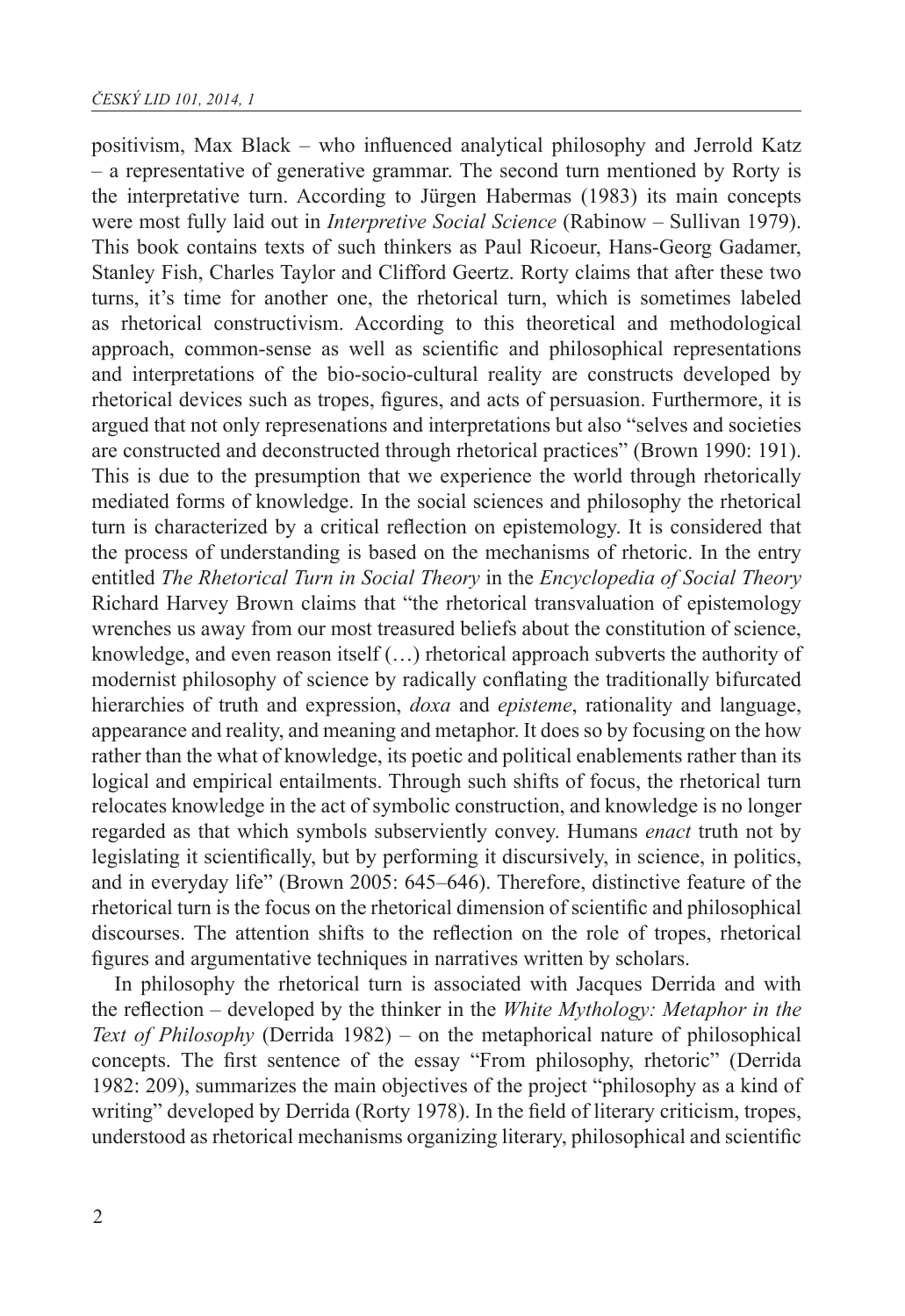positivism, Max Black – who influenced analytical philosophy and Jerrold Katz – a representative of generative grammar. The second turn mentioned by Rorty is the interpretative turn. According to Jürgen Habermas (1983) its main concepts were most fully laid out in *Interpretive Social Science* (Rabinow – Sullivan 1979). This book contains texts of such thinkers as Paul Ricoeur, Hans-Georg Gadamer, Stanley Fish, Charles Taylor and Clifford Geertz. Rorty claims that after these two turns, it's time for another one, the rhetorical turn, which is sometimes labeled as rhetorical constructivism. According to this theoretical and methodological approach, common-sense as well as scientific and philosophical representations and interpretations of the bio-socio-cultural reality are constructs developed by rhetorical devices such as tropes, figures, and acts of persuasion. Furthermore, it is argued that not only represenations and interpretations but also "selves and societies are constructed and deconstructed through rhetorical practices" (Brown 1990: 191). This is due to the presumption that we experience the world through rhetorically mediated forms of knowledge. In the social sciences and philosophy the rhetorical turn is characterized by a critical reflection on epistemology. It is considered that the process of understanding is based on the mechanisms of rhetoric. In the entry entitled *The Rhetorical Turn in Social Theory* in the *Encyclopedia of Social Theory* Richard Harvey Brown claims that "the rhetorical transvaluation of epistemology wrenches us away from our most treasured beliefs about the constitution of science, knowledge, and even reason itself (…) rhetorical approach subverts the authority of modernist philosophy of science by radically conflating the traditionally bifurcated hierarchies of truth and expression, *doxa* and *episteme*, rationality and language, appearance and reality, and meaning and metaphor. It does so by focusing on the how rather than the what of knowledge, its poetic and political enablements rather than its logical and empirical entailments. Through such shifts of focus, the rhetorical turn relocates knowledge in the act of symbolic construction, and knowledge is no longer regarded as that which symbols subserviently convey. Humans *enact* truth not by legislating it scientifically, but by performing it discursively, in science, in politics, and in everyday life" (Brown 2005: 645–646). Therefore, distinctive feature of the rhetorical turn is the focus on the rhetorical dimension of scientific and philosophical discourses. The attention shifts to the reflection on the role of tropes, rhetorical figures and argumentative techniques in narratives written by scholars.

In philosophy the rhetorical turn is associated with Jacques Derrida and with the reflection – developed by the thinker in the *White Mythology: Metaphor in the Text of Philosophy* (Derrida 1982) – on the metaphorical nature of philosophical concepts. The first sentence of the essay "From philosophy, rhetoric" (Derrida 1982: 209), summarizes the main objectives of the project "philosophy as a kind of writing" developed by Derrida (Rorty 1978). In the field of literary criticism, tropes, understood as rhetorical mechanisms organizing literary, philosophical and scientific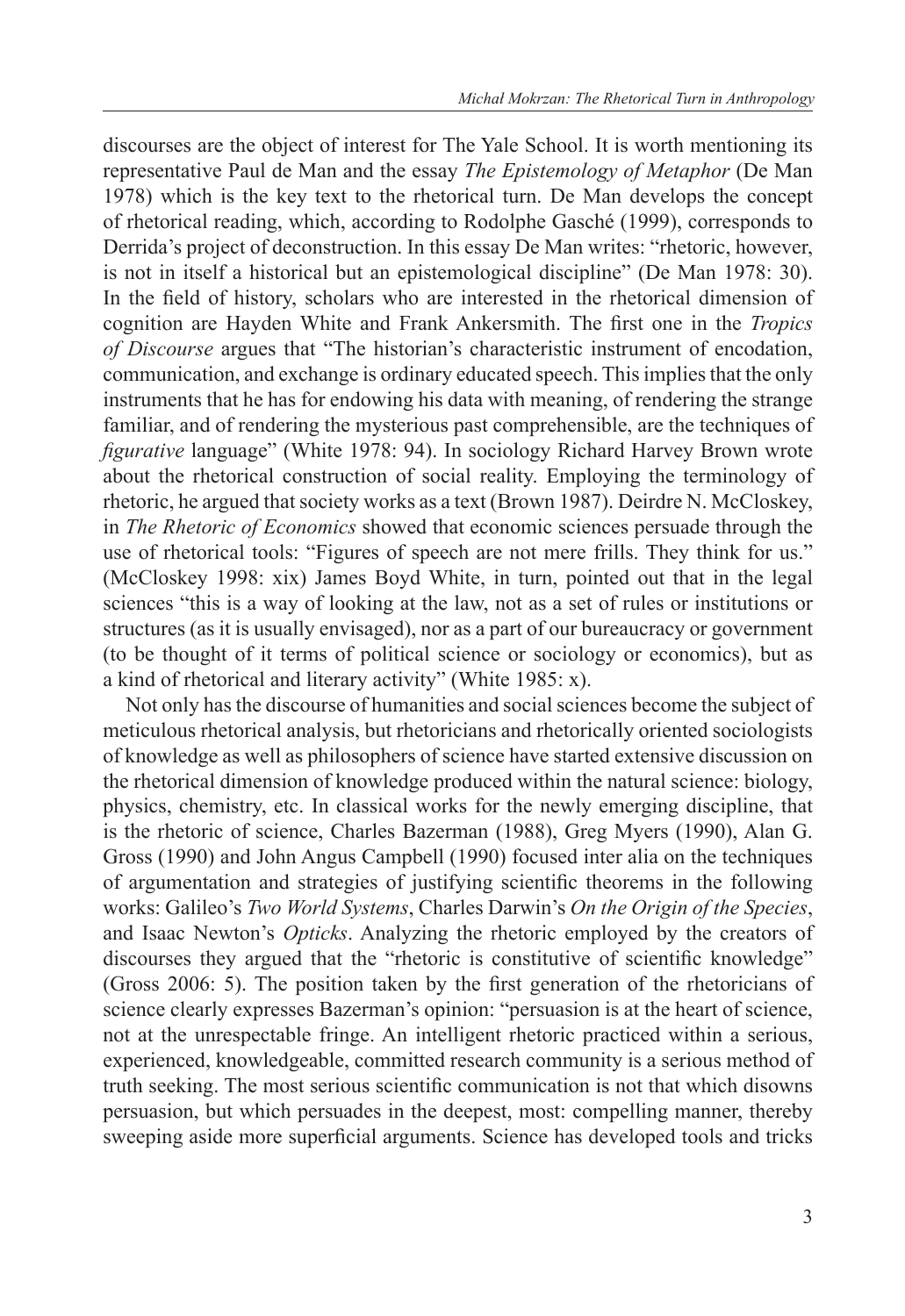discourses are the object of interest for The Yale School. It is worth mentioning its representative Paul de Man and the essay *The Epistemology of Metaphor* (De Man 1978) which is the key text to the rhetorical turn. De Man develops the concept of rhetorical reading, which, according to Rodolphe Gasché (1999), corresponds to Derrida's project of deconstruction. In this essay De Man writes: "rhetoric, however, is not in itself a historical but an epistemological discipline" (De Man 1978: 30). In the field of history, scholars who are interested in the rhetorical dimension of cognition are Hayden White and Frank Ankersmith. The first one in the *Tropics of Discourse* argues that "The historian's characteristic instrument of encodation, communication, and exchange is ordinary educated speech. This implies that the only instruments that he has for endowing his data with meaning, of rendering the strange familiar, and of rendering the mysterious past comprehensible, are the techniques of *figurative* language" (White 1978: 94). In sociology Richard Harvey Brown wrote about the rhetorical construction of social reality. Employing the terminology of rhetoric, he argued that society works as a text (Brown 1987). Deirdre N. McCloskey, in *The Rhetoric of Economics* showed that economic sciences persuade through the use of rhetorical tools: "Figures of speech are not mere frills. They think for us." (McCloskey 1998: xix) James Boyd White, in turn, pointed out that in the legal sciences "this is a way of looking at the law, not as a set of rules or institutions or structures (as it is usually envisaged), nor as a part of our bureaucracy or government (to be thought of it terms of political science or sociology or economics), but as a kind of rhetorical and literary activity" (White 1985: x).

Not only has the discourse of humanities and social sciences become the subject of meticulous rhetorical analysis, but rhetoricians and rhetorically oriented sociologists of knowledge as well as philosophers of science have started extensive discussion on the rhetorical dimension of knowledge produced within the natural science: biology, physics, chemistry, etc. In classical works for the newly emerging discipline, that is the rhetoric of science, Charles Bazerman (1988), Greg Myers (1990), Alan G. Gross (1990) and John Angus Campbell (1990) focused inter alia on the techniques of argumentation and strategies of justifying scientific theorems in the following works: Galileo's *Two World Systems*, Charles Darwin's *On the Origin of the Species*, and Isaac Newton's *Opticks*. Analyzing the rhetoric employed by the creators of discourses they argued that the "rhetoric is constitutive of scientific knowledge" (Gross 2006: 5). The position taken by the first generation of the rhetoricians of science clearly expresses Bazerman's opinion: "persuasion is at the heart of science, not at the unrespectable fringe. An intelligent rhetoric practiced within a serious, experienced, knowledgeable, committed research community is a serious method of truth seeking. The most serious scientific communication is not that which disowns persuasion, but which persuades in the deepest, most: compelling manner, thereby sweeping aside more superficial arguments. Science has developed tools and tricks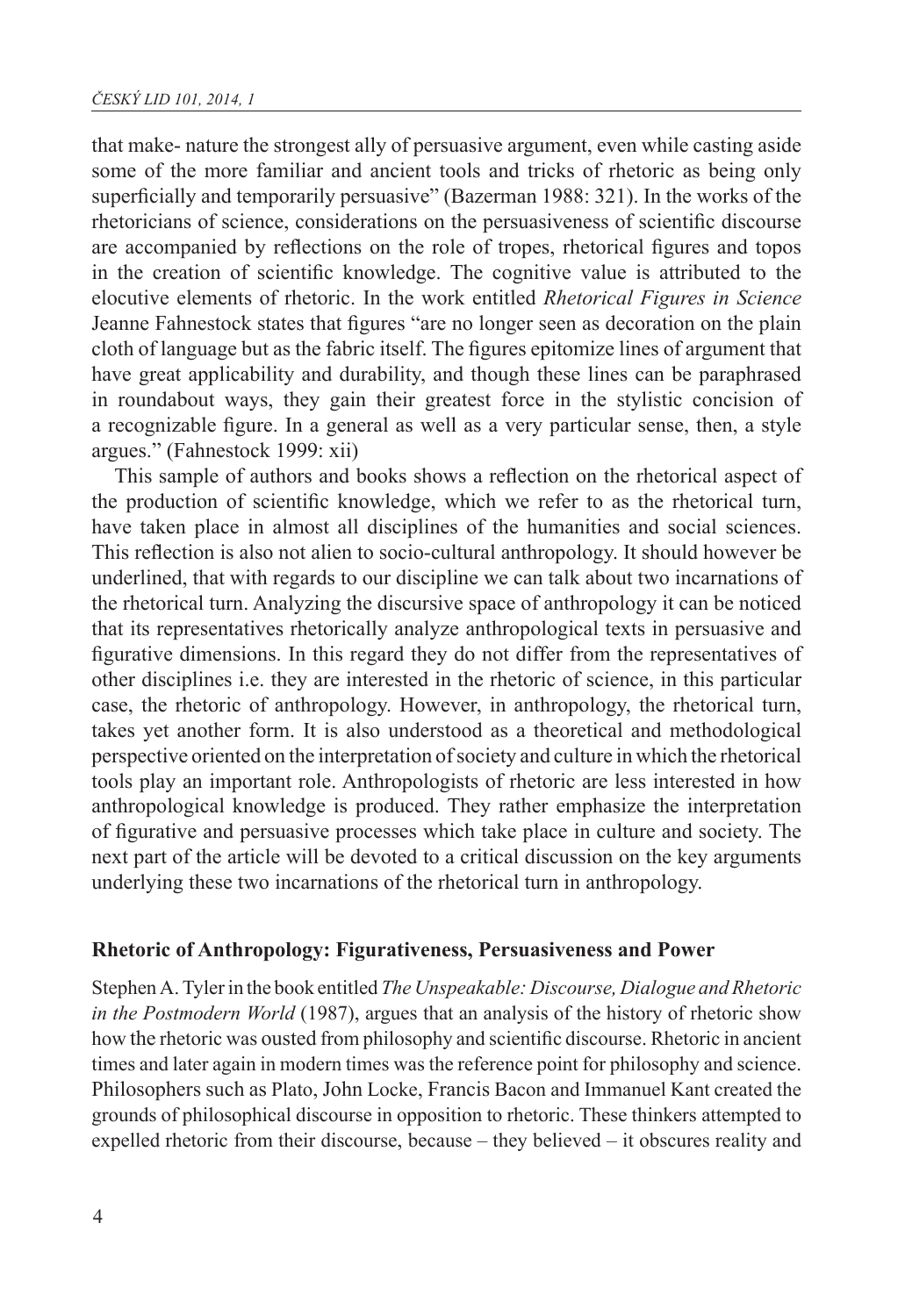that make- nature the strongest ally of persuasive argument, even while casting aside some of the more familiar and ancient tools and tricks of rhetoric as being only superficially and temporarily persuasive" (Bazerman 1988: 321). In the works of the rhetoricians of science, considerations on the persuasiveness of scientific discourse are accompanied by reflections on the role of tropes, rhetorical figures and topos in the creation of scientific knowledge. The cognitive value is attributed to the elocutive elements of rhetoric. In the work entitled *Rhetorical Figures in Science*  Jeanne Fahnestock states that figures "are no longer seen as decoration on the plain cloth of language but as the fabric itself. The figures epitomize lines of argument that have great applicability and durability, and though these lines can be paraphrased in roundabout ways, they gain their greatest force in the stylistic concision of a recognizable figure. In a general as well as a very particular sense, then, a style argues." (Fahnestock 1999: xii)

This sample of authors and books shows a reflection on the rhetorical aspect of the production of scientific knowledge, which we refer to as the rhetorical turn, have taken place in almost all disciplines of the humanities and social sciences. This reflection is also not alien to socio-cultural anthropology. It should however be underlined, that with regards to our discipline we can talk about two incarnations of the rhetorical turn. Analyzing the discursive space of anthropology it can be noticed that its representatives rhetorically analyze anthropological texts in persuasive and figurative dimensions. In this regard they do not differ from the representatives of other disciplines i.e. they are interested in the rhetoric of science, in this particular case, the rhetoric of anthropology. However, in anthropology, the rhetorical turn, takes yet another form. It is also understood as a theoretical and methodological perspective oriented on the interpretation of society and culture in which the rhetorical tools play an important role. Anthropologists of rhetoric are less interested in how anthropological knowledge is produced. They rather emphasize the interpretation of figurative and persuasive processes which take place in culture and society. The next part of the article will be devoted to a critical discussion on the key arguments underlying these two incarnations of the rhetorical turn in anthropology.

## **Rhetoric of Anthropology: Figurativeness, Persuasiveness and Power**

Stephen A. Tylerin the book entitled *The Unspeakable: Discourse, Dialogue and Rhetoric in the Postmodern World* (1987), argues that an analysis of the history of rhetoric show how the rhetoric was ousted from philosophy and scientific discourse. Rhetoric in ancient times and later again in modern times was the reference point for philosophy and science. Philosophers such as Plato, John Locke, Francis Bacon and Immanuel Kant created the grounds of philosophical discourse in opposition to rhetoric. These thinkers attempted to expelled rhetoric from their discourse, because – they believed – it obscures reality and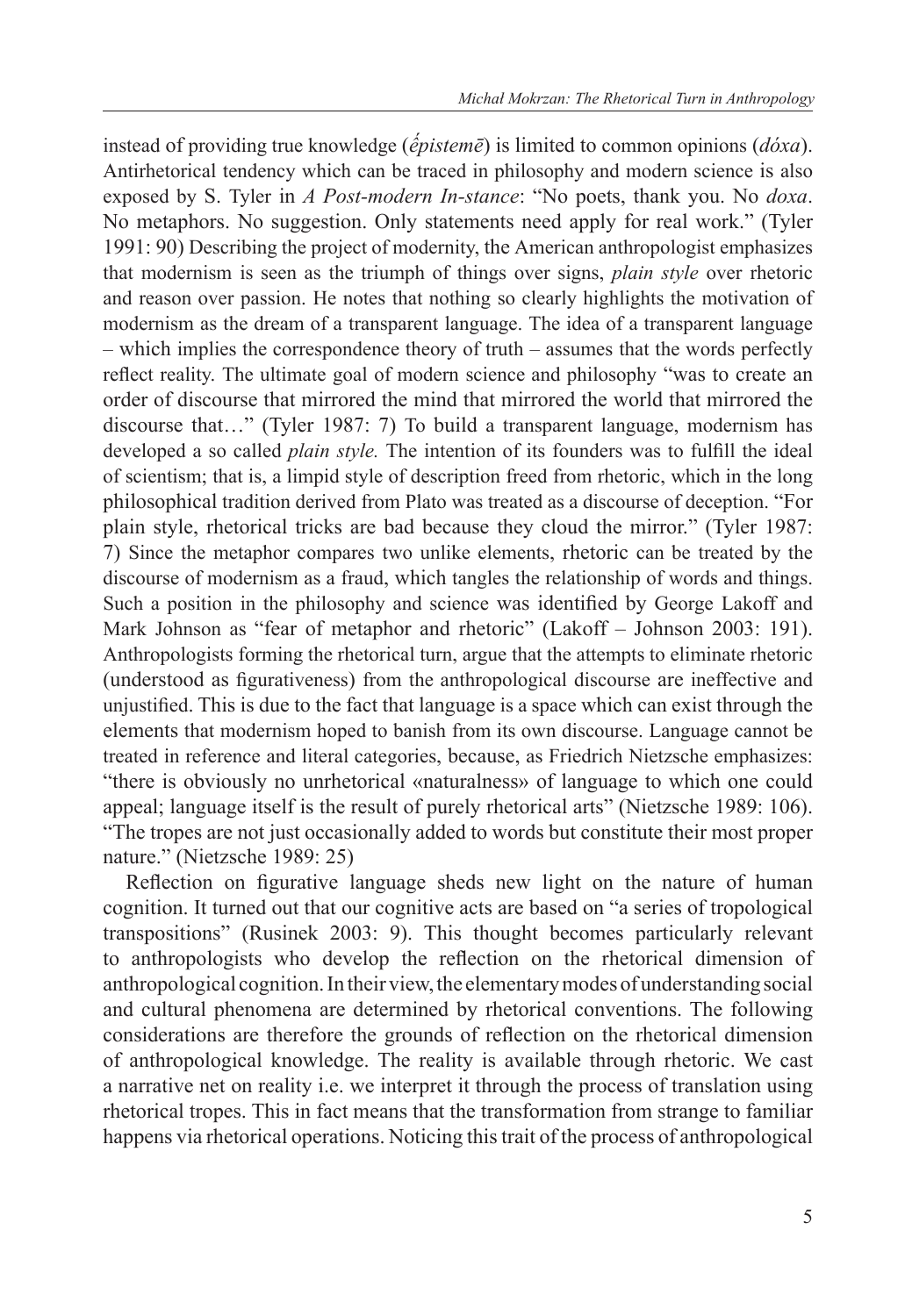instead of providing true knowledge (*ếpistemē*) is limited to common opinions (*dóxa*). Antirhetorical tendency which can be traced in philosophy and modern science is also exposed by S. Tyler in *A Post-modern In-stance*: "No poets, thank you. No *doxa*. No metaphors. No suggestion. Only statements need apply for real work." (Tyler 1991: 90) Describing the project of modernity, the American anthropologist emphasizes that modernism is seen as the triumph of things over signs, *plain style* over rhetoric and reason over passion. He notes that nothing so clearly highlights the motivation of modernism as the dream of a transparent language. The idea of a transparent language – which implies the correspondence theory of truth – assumes that the words perfectly reflect reality. The ultimate goal of modern science and philosophy "was to create an order of discourse that mirrored the mind that mirrored the world that mirrored the discourse that…" (Tyler 1987: 7) To build a transparent language, modernism has developed a so called *plain style.* The intention of its founders was to fulfill the ideal of scientism; that is, a limpid style of description freed from rhetoric, which in the long philosophical tradition derived from Plato was treated as a discourse of deception. "For plain style, rhetorical tricks are bad because they cloud the mirror." (Tyler 1987: 7) Since the metaphor compares two unlike elements, rhetoric can be treated by the discourse of modernism as a fraud, which tangles the relationship of words and things. Such a position in the philosophy and science was identified by George Lakoff and Mark Johnson as "fear of metaphor and rhetoric" (Lakoff – Johnson 2003: 191). Anthropologists forming the rhetorical turn, argue that the attempts to eliminate rhetoric (understood as figurativeness) from the anthropological discourse are ineffective and unjustified. This is due to the fact that language is a space which can exist through the elements that modernism hoped to banish from its own discourse. Language cannot be treated in reference and literal categories, because, as Friedrich Nietzsche emphasizes: "there is obviously no unrhetorical «naturalness» of language to which one could appeal; language itself is the result of purely rhetorical arts" (Nietzsche 1989: 106). "The tropes are not just occasionally added to words but constitute their most proper nature." (Nietzsche 1989: 25)

Reflection on figurative language sheds new light on the nature of human cognition. It turned out that our cognitive acts are based on "a series of tropological transpositions" (Rusinek 2003: 9). This thought becomes particularly relevant to anthropologists who develop the reflection on the rhetorical dimension of anthropological cognition. In their view, the elementary modes of understanding social and cultural phenomena are determined by rhetorical conventions. The following considerations are therefore the grounds of reflection on the rhetorical dimension of anthropological knowledge. The reality is available through rhetoric. We cast a narrative net on reality i.e. we interpret it through the process of translation using rhetorical tropes. This in fact means that the transformation from strange to familiar happens via rhetorical operations. Noticing this trait of the process of anthropological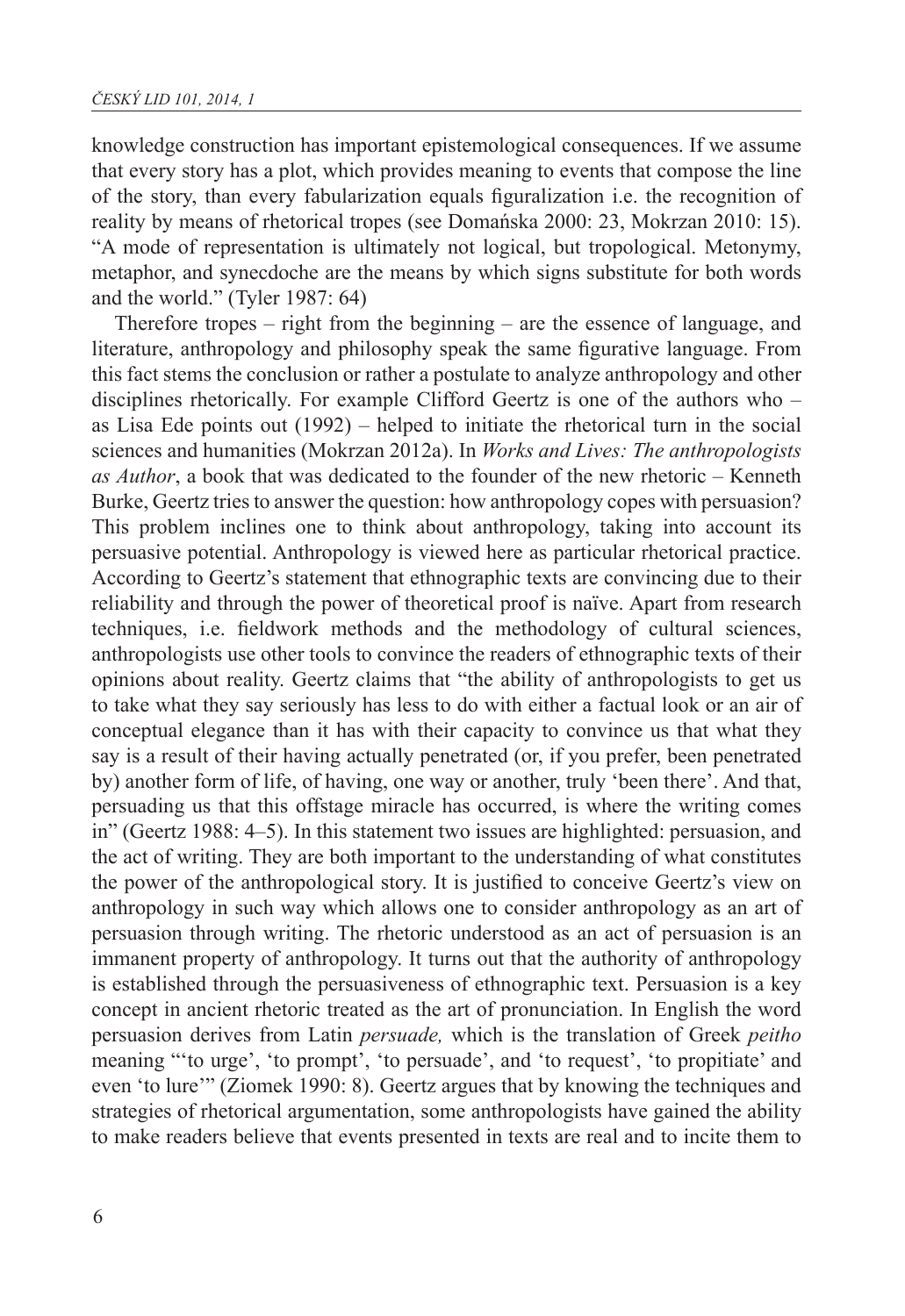knowledge construction has important epistemological consequences. If we assume that every story has a plot, which provides meaning to events that compose the line of the story, than every fabularization equals figuralization i.e. the recognition of reality by means of rhetorical tropes (see Domańska 2000: 23, Mokrzan 2010: 15). "A mode of representation is ultimately not logical, but tropological. Metonymy, metaphor, and synecdoche are the means by which signs substitute for both words and the world." (Tyler 1987: 64)

Therefore tropes – right from the beginning – are the essence of language, and literature, anthropology and philosophy speak the same figurative language. From this fact stems the conclusion or rather a postulate to analyze anthropology and other disciplines rhetorically. For example Clifford Geertz is one of the authors who – as Lisa Ede points out (1992) – helped to initiate the rhetorical turn in the social sciences and humanities (Mokrzan 2012a). In *Works and Lives: The anthropologists as Author*, a book that was dedicated to the founder of the new rhetoric – Kenneth Burke, Geertz tries to answer the question: how anthropology copes with persuasion? This problem inclines one to think about anthropology, taking into account its persuasive potential. Anthropology is viewed here as particular rhetorical practice. According to Geertz's statement that ethnographic texts are convincing due to their reliability and through the power of theoretical proof is naïve. Apart from research techniques, i.e. fieldwork methods and the methodology of cultural sciences, anthropologists use other tools to convince the readers of ethnographic texts of their opinions about reality. Geertz claims that "the ability of anthropologists to get us to take what they say seriously has less to do with either a factual look or an air of conceptual elegance than it has with their capacity to convince us that what they say is a result of their having actually penetrated (or, if you prefer, been penetrated by) another form of life, of having, one way or another, truly 'been there'. And that, persuading us that this offstage miracle has occurred, is where the writing comes in" (Geertz 1988: 4–5). In this statement two issues are highlighted: persuasion, and the act of writing. They are both important to the understanding of what constitutes the power of the anthropological story. It is justified to conceive Geertz's view on anthropology in such way which allows one to consider anthropology as an art of persuasion through writing. The rhetoric understood as an act of persuasion is an immanent property of anthropology. It turns out that the authority of anthropology is established through the persuasiveness of ethnographic text. Persuasion is a key concept in ancient rhetoric treated as the art of pronunciation. In English the word persuasion derives from Latin *persuade,* which is the translation of Greek *peitho* meaning "'to urge', 'to prompt', 'to persuade', and 'to request', 'to propitiate' and even 'to lure'" (Ziomek 1990: 8). Geertz argues that by knowing the techniques and strategies of rhetorical argumentation, some anthropologists have gained the ability to make readers believe that events presented in texts are real and to incite them to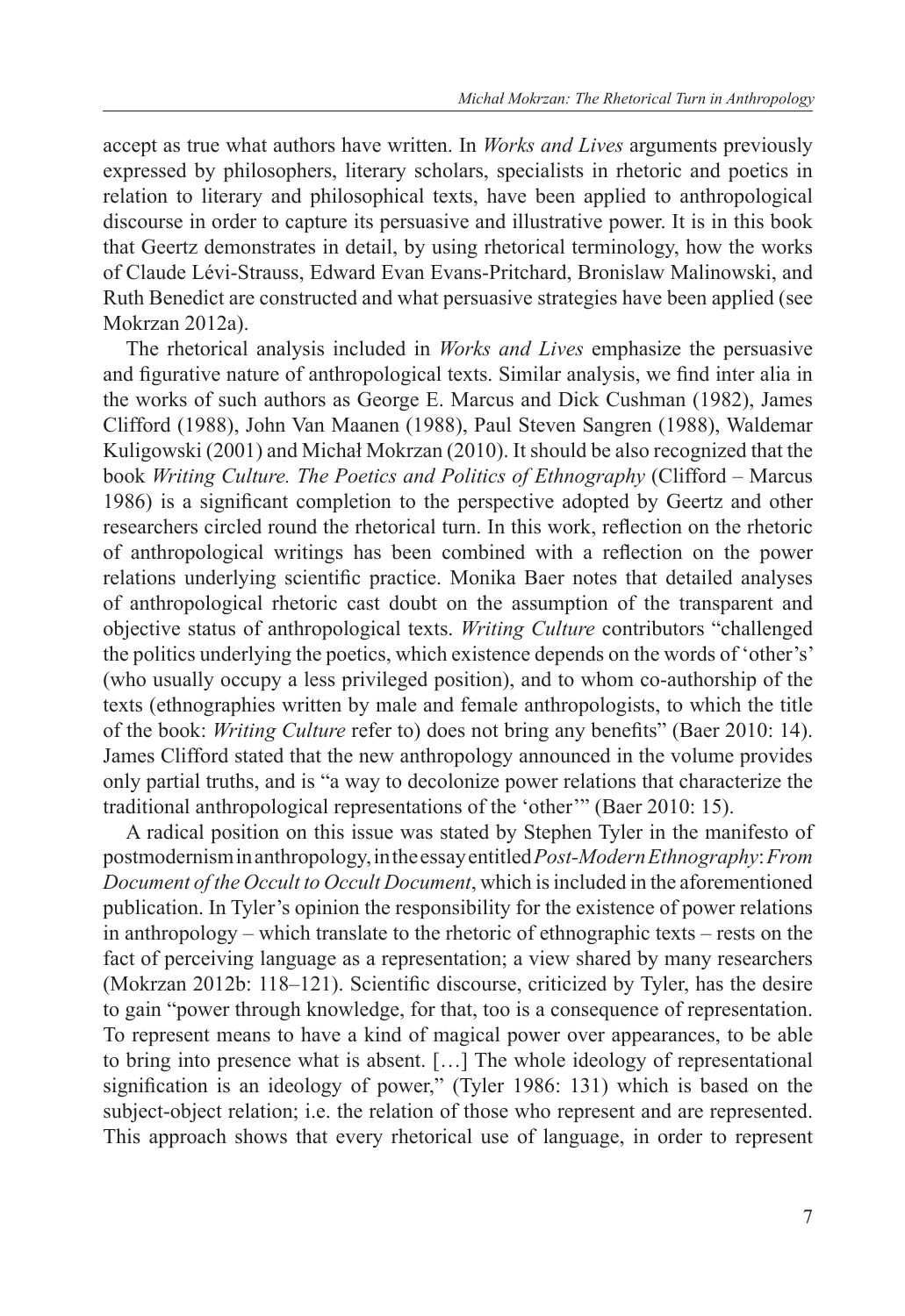accept as true what authors have written. In *Works and Lives* arguments previously expressed by philosophers, literary scholars, specialists in rhetoric and poetics in relation to literary and philosophical texts, have been applied to anthropological discourse in order to capture its persuasive and illustrative power. It is in this book that Geertz demonstrates in detail, by using rhetorical terminology, how the works of Claude Lévi-Strauss, Edward Evan Evans-Pritchard, Bronislaw Malinowski, and Ruth Benedict are constructed and what persuasive strategies have been applied (see Mokrzan 2012a).

The rhetorical analysis included in *Works and Lives* emphasize the persuasive and figurative nature of anthropological texts. Similar analysis, we find inter alia in the works of such authors as George E. Marcus and Dick Cushman (1982), James Clifford (1988), John Van Maanen (1988), Paul Steven Sangren (1988), Waldemar Kuligowski (2001) and Michał Mokrzan (2010). It should be also recognized that the book *Writing Culture. The Poetics and Politics of Ethnography* (Clifford – Marcus 1986) is a significant completion to the perspective adopted by Geertz and other researchers circled round the rhetorical turn. In this work, reflection on the rhetoric of anthropological writings has been combined with a reflection on the power relations underlying scientific practice. Monika Baer notes that detailed analyses of anthropological rhetoric cast doubt on the assumption of the transparent and objective status of anthropological texts. *Writing Culture* contributors "challenged the politics underlying the poetics, which existence depends on the words of 'other's' (who usually occupy a less privileged position), and to whom co-authorship of the texts (ethnographies written by male and female anthropologists, to which the title of the book: *Writing Culture* refer to) does not bring any benefits" (Baer 2010: 14). James Clifford stated that the new anthropology announced in the volume provides only partial truths, and is "a way to decolonize power relations that characterize the traditional anthropological representations of the 'other'" (Baer 2010: 15).

A radical position on this issue was stated by Stephen Tyler in the manifesto of postmodernism in anthropology, in the essay entitled *Post-Modern Ethnography*: *From Document of the Occult to Occult Document*, which is included in the aforementioned publication. In Tyler's opinion the responsibility for the existence of power relations in anthropology – which translate to the rhetoric of ethnographic texts – rests on the fact of perceiving language as a representation; a view shared by many researchers (Mokrzan 2012b: 118–121). Scientific discourse, criticized by Tyler, has the desire to gain "power through knowledge, for that, too is a consequence of representation. To represent means to have a kind of magical power over appearances, to be able to bring into presence what is absent. […] The whole ideology of representational signification is an ideology of power," (Tyler 1986: 131) which is based on the subject-object relation; i.e. the relation of those who represent and are represented. This approach shows that every rhetorical use of language, in order to represent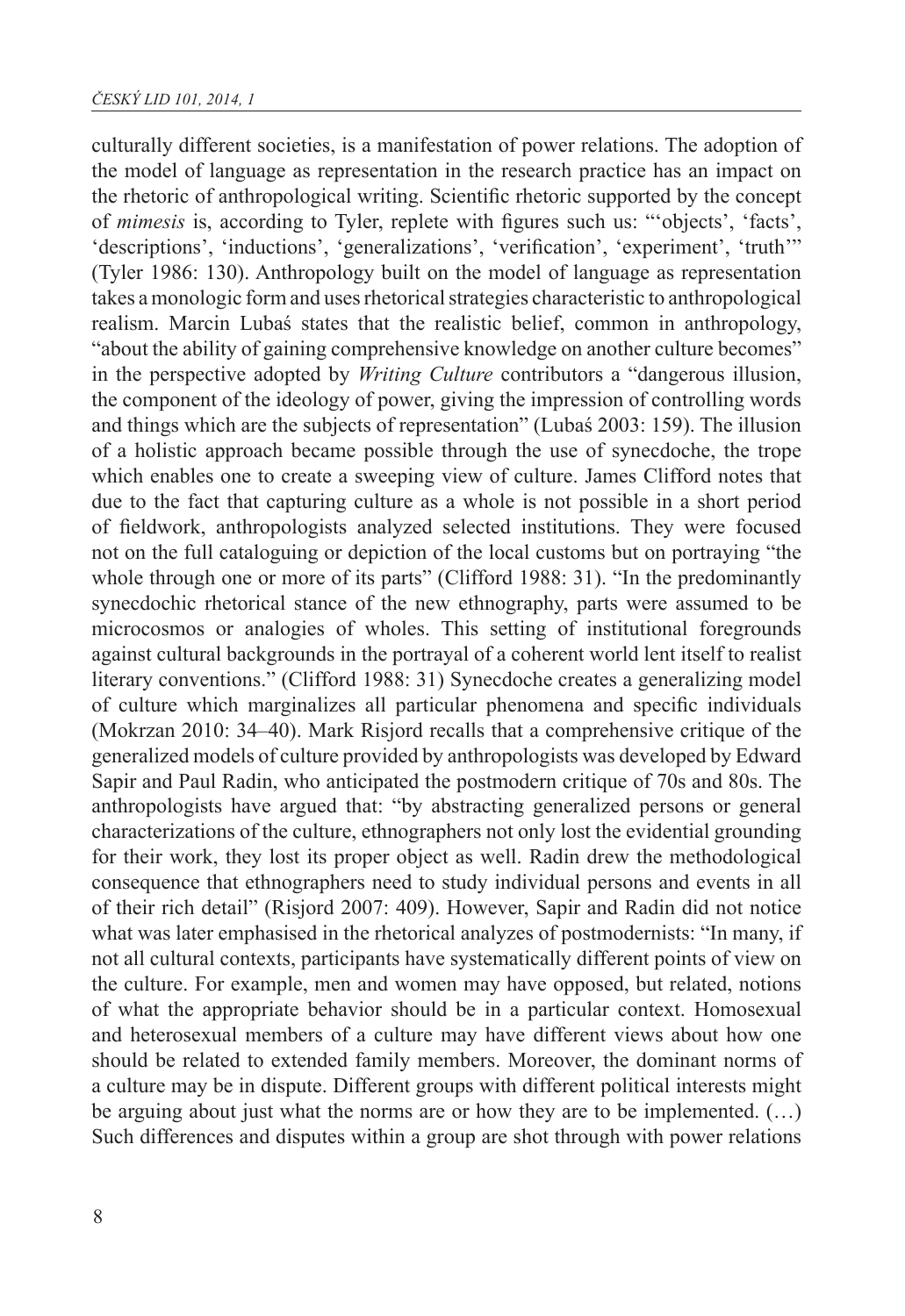culturally different societies, is a manifestation of power relations. The adoption of the model of language as representation in the research practice has an impact on the rhetoric of anthropological writing. Scientific rhetoric supported by the concept of *mimesis* is, according to Tyler, replete with figures such us: "'objects', 'facts', 'descriptions', 'inductions', 'generalizations', 'verification', 'experiment', 'truth'" (Tyler 1986: 130). Anthropology built on the model of language as representation takes a monologic form and uses rhetorical strategies characteristic to anthropological realism. Marcin Lubaś states that the realistic belief, common in anthropology, "about the ability of gaining comprehensive knowledge on another culture becomes" in the perspective adopted by *Writing Culture* contributors a "dangerous illusion, the component of the ideology of power, giving the impression of controlling words and things which are the subjects of representation" (Lubaś 2003: 159). The illusion of a holistic approach became possible through the use of synecdoche, the trope which enables one to create a sweeping view of culture. James Clifford notes that due to the fact that capturing culture as a whole is not possible in a short period of fieldwork, anthropologists analyzed selected institutions. They were focused not on the full cataloguing or depiction of the local customs but on portraying "the whole through one or more of its parts" (Clifford 1988: 31). "In the predominantly synecdochic rhetorical stance of the new ethnography, parts were assumed to be microcosmos or analogies of wholes. This setting of institutional foregrounds against cultural backgrounds in the portrayal of a coherent world lent itself to realist literary conventions." (Clifford 1988: 31) Synecdoche creates a generalizing model of culture which marginalizes all particular phenomena and specific individuals (Mokrzan 2010: 34–40). Mark Risjord recalls that a comprehensive critique of the generalized models of culture provided by anthropologists was developed by Edward Sapir and Paul Radin, who anticipated the postmodern critique of 70s and 80s. The anthropologists have argued that: "by abstracting generalized persons or general characterizations of the culture, ethnographers not only lost the evidential grounding for their work, they lost its proper object as well. Radin drew the methodological consequence that ethnographers need to study individual persons and events in all of their rich detail" (Risjord 2007: 409). However, Sapir and Radin did not notice what was later emphasised in the rhetorical analyzes of postmodernists: "In many, if not all cultural contexts, participants have systematically different points of view on the culture. For example, men and women may have opposed, but related, notions of what the appropriate behavior should be in a particular context. Homosexual and heterosexual members of a culture may have different views about how one should be related to extended family members. Moreover, the dominant norms of a culture may be in dispute. Different groups with different political interests might be arguing about just what the norms are or how they are to be implemented. (…) Such differences and disputes within a group are shot through with power relations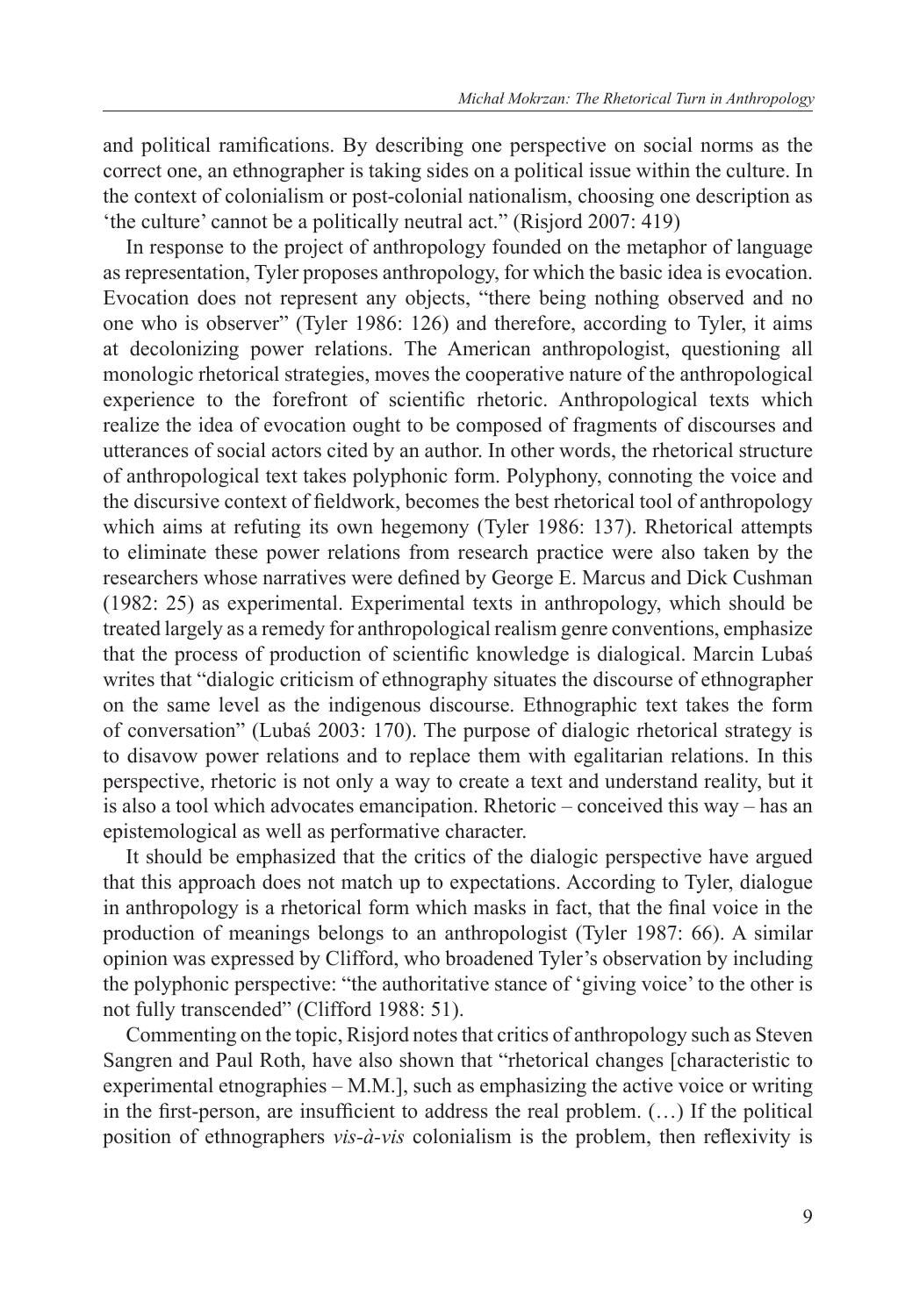and political ramifications. By describing one perspective on social norms as the correct one, an ethnographer is taking sides on a political issue within the culture. In the context of colonialism or post-colonial nationalism, choosing one description as 'the culture' cannot be a politically neutral act." (Risjord 2007: 419)

In response to the project of anthropology founded on the metaphor of language as representation, Tyler proposes anthropology, for which the basic idea is evocation. Evocation does not represent any objects, "there being nothing observed and no one who is observer" (Tyler 1986: 126) and therefore, according to Tyler, it aims at decolonizing power relations. The American anthropologist, questioning all monologic rhetorical strategies, moves the cooperative nature of the anthropological experience to the forefront of scientific rhetoric. Anthropological texts which realize the idea of evocation ought to be composed of fragments of discourses and utterances of social actors cited by an author. In other words, the rhetorical structure of anthropological text takes polyphonic form. Polyphony, connoting the voice and the discursive context of fieldwork, becomes the best rhetorical tool of anthropology which aims at refuting its own hegemony (Tyler 1986: 137). Rhetorical attempts to eliminate these power relations from research practice were also taken by the researchers whose narratives were defined by George E. Marcus and Dick Cushman (1982: 25) as experimental. Experimental texts in anthropology, which should be treated largely as a remedy for anthropological realism genre conventions, emphasize that the process of production of scientific knowledge is dialogical. Marcin Lubaś writes that "dialogic criticism of ethnography situates the discourse of ethnographer on the same level as the indigenous discourse. Ethnographic text takes the form of conversation" (Lubaś 2003: 170). The purpose of dialogic rhetorical strategy is to disavow power relations and to replace them with egalitarian relations. In this perspective, rhetoric is not only a way to create a text and understand reality, but it is also a tool which advocates emancipation. Rhetoric – conceived this way – has an epistemological as well as performative character.

It should be emphasized that the critics of the dialogic perspective have argued that this approach does not match up to expectations. According to Tyler, dialogue in anthropology is a rhetorical form which masks in fact, that the final voice in the production of meanings belongs to an anthropologist (Tyler 1987: 66). A similar opinion was expressed by Clifford, who broadened Tyler's observation by including the polyphonic perspective: "the authoritative stance of 'giving voice' to the other is not fully transcended" (Clifford 1988: 51).

Commenting on the topic, Risjord notes that critics of anthropology such as Steven Sangren and Paul Roth, have also shown that "rhetorical changes [characteristic to experimental etnographies – M.M.], such as emphasizing the active voice or writing in the first-person, are insufficient to address the real problem. (…) If the political position of ethnographers *vis-à-vis* colonialism is the problem, then reflexivity is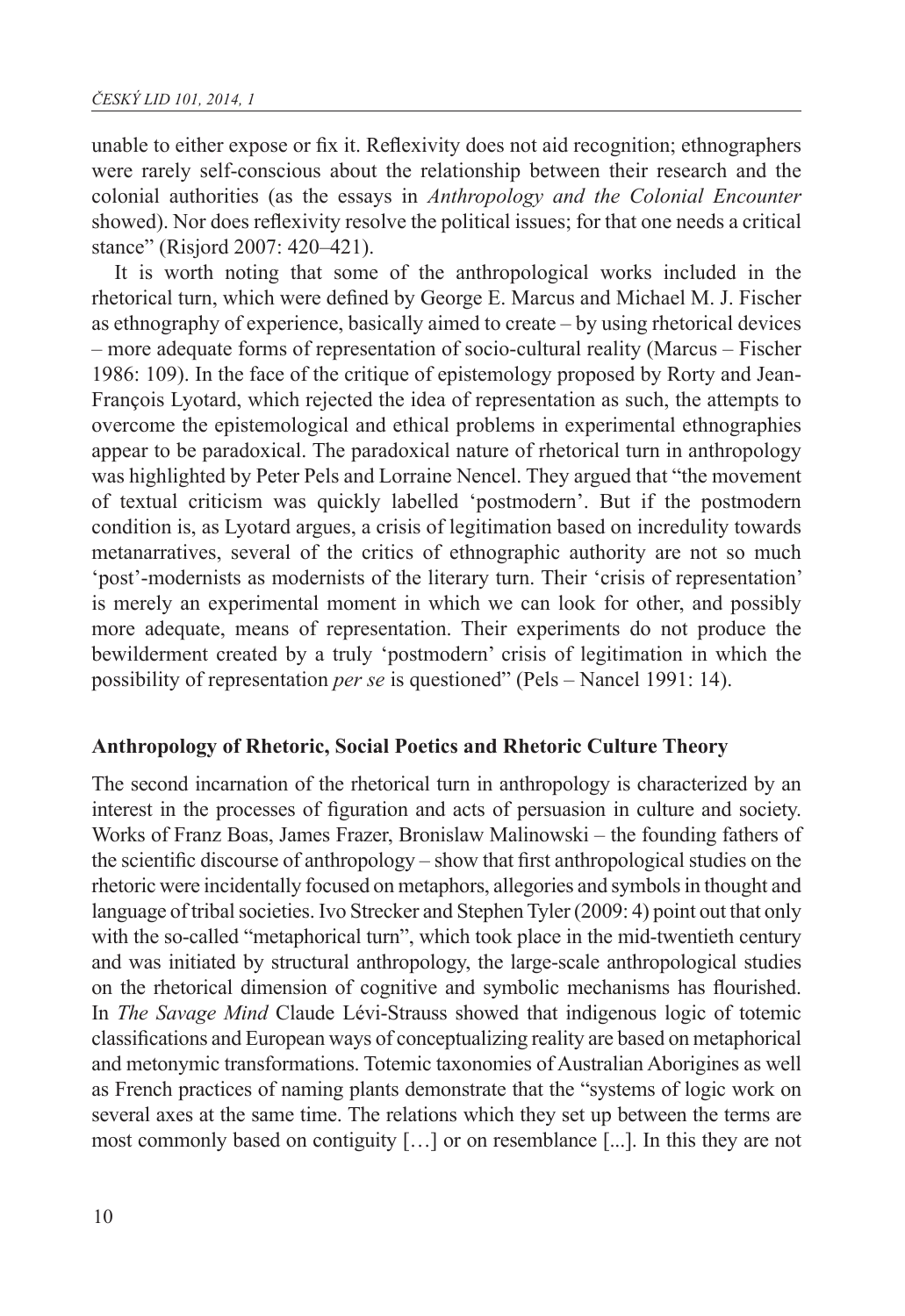unable to either expose or fix it. Reflexivity does not aid recognition; ethnographers were rarely self-conscious about the relationship between their research and the colonial authorities (as the essays in *Anthropology and the Colonial Encounter*  showed). Nor does reflexivity resolve the political issues; for that one needs a critical stance" (Risjord 2007: 420–421).

It is worth noting that some of the anthropological works included in the rhetorical turn, which were defined by George E. Marcus and Michael M. J. Fischer as ethnography of experience, basically aimed to create – by using rhetorical devices – more adequate forms of representation of socio-cultural reality (Marcus – Fischer 1986: 109). In the face of the critique of epistemology proposed by Rorty and Jean-François Lyotard, which rejected the idea of representation as such, the attempts to overcome the epistemological and ethical problems in experimental ethnographies appear to be paradoxical. The paradoxical nature of rhetorical turn in anthropology was highlighted by Peter Pels and Lorraine Nencel. They argued that "the movement of textual criticism was quickly labelled 'postmodern'. But if the postmodern condition is, as Lyotard argues, a crisis of legitimation based on incredulity towards metanarratives, several of the critics of ethnographic authority are not so much 'post'-modernists as modernists of the literary turn. Their 'crisis of representation' is merely an experimental moment in which we can look for other, and possibly more adequate, means of representation. Their experiments do not produce the bewilderment created by a truly 'postmodern' crisis of legitimation in which the possibility of representation *per se* is questioned" (Pels – Nancel 1991: 14).

#### **Anthropology of Rhetoric, Social Poetics and Rhetoric Culture Theory**

The second incarnation of the rhetorical turn in anthropology is characterized by an interest in the processes of figuration and acts of persuasion in culture and society. Works of Franz Boas, James Frazer, Bronislaw Malinowski – the founding fathers of the scientific discourse of anthropology – show that first anthropological studies on the rhetoric were incidentally focused on metaphors, allegories and symbols in thought and language of tribal societies. Ivo Strecker and Stephen Tyler (2009: 4) point out that only with the so-called "metaphorical turn", which took place in the mid-twentieth century and was initiated by structural anthropology, the large-scale anthropological studies on the rhetorical dimension of cognitive and symbolic mechanisms has flourished. In *The Savage Mind* Claude Lévi-Strauss showed that indigenous logic of totemic classifications and European ways of conceptualizing reality are based on metaphorical and metonymic transformations. Totemic taxonomies of Australian Aborigines as well as French practices of naming plants demonstrate that the "systems of logic work on several axes at the same time. The relations which they set up between the terms are most commonly based on contiguity […] or on resemblance [...]. In this they are not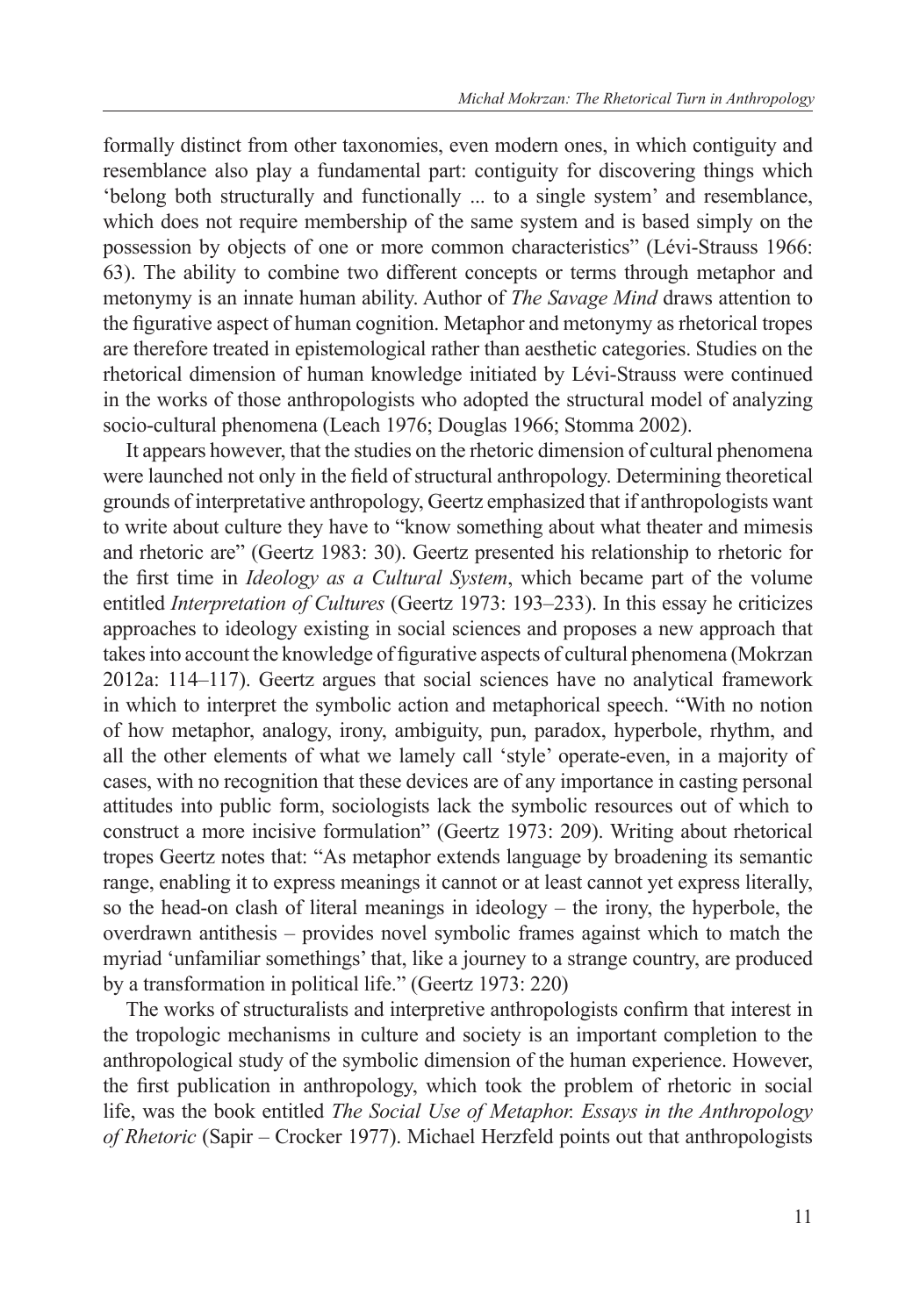formally distinct from other taxonomies, even modern ones, in which contiguity and resemblance also play a fundamental part: contiguity for discovering things which 'belong both structurally and functionally ... to a single system' and resemblance, which does not require membership of the same system and is based simply on the possession by objects of one or more common characteristics" (Lévi-Strauss 1966: 63). The ability to combine two different concepts or terms through metaphor and metonymy is an innate human ability. Author of *The Savage Mind* draws attention to the figurative aspect of human cognition. Metaphor and metonymy as rhetorical tropes are therefore treated in epistemological rather than aesthetic categories. Studies on the rhetorical dimension of human knowledge initiated by Lévi-Strauss were continued in the works of those anthropologists who adopted the structural model of analyzing socio-cultural phenomena (Leach 1976; Douglas 1966; Stomma 2002).

It appears however, that the studies on the rhetoric dimension of cultural phenomena were launched not only in the field of structural anthropology. Determining theoretical grounds of interpretative anthropology, Geertz emphasized that if anthropologists want to write about culture they have to "know something about what theater and mimesis and rhetoric are" (Geertz 1983: 30). Geertz presented his relationship to rhetoric for the first time in *Ideology as a Cultural System*, which became part of the volume entitled *Interpretation of Cultures* (Geertz 1973: 193–233). In this essay he criticizes approaches to ideology existing in social sciences and proposes a new approach that takes into account the knowledge of figurative aspects of cultural phenomena (Mokrzan 2012a: 114–117). Geertz argues that social sciences have no analytical framework in which to interpret the symbolic action and metaphorical speech. "With no notion of how metaphor, analogy, irony, ambiguity, pun, paradox, hyperbole, rhythm, and all the other elements of what we lamely call 'style' operate-even, in a majority of cases, with no recognition that these devices are of any importance in casting personal attitudes into public form, sociologists lack the symbolic resources out of which to construct a more incisive formulation" (Geertz 1973: 209). Writing about rhetorical tropes Geertz notes that: "As metaphor extends language by broadening its semantic range, enabling it to express meanings it cannot or at least cannot yet express literally, so the head-on clash of literal meanings in ideology – the irony, the hyperbole, the overdrawn antithesis – provides novel symbolic frames against which to match the myriad 'unfamiliar somethings' that, like a journey to a strange country, are produced by a transformation in political life." (Geertz 1973: 220)

The works of structuralists and interpretive anthropologists confirm that interest in the tropologic mechanisms in culture and society is an important completion to the anthropological study of the symbolic dimension of the human experience. However, the first publication in anthropology, which took the problem of rhetoric in social life, was the book entitled *The Social Use of Metaphor. Essays in the Anthropology of Rhetoric* (Sapir – Crocker 1977). Michael Herzfeld points out that anthropologists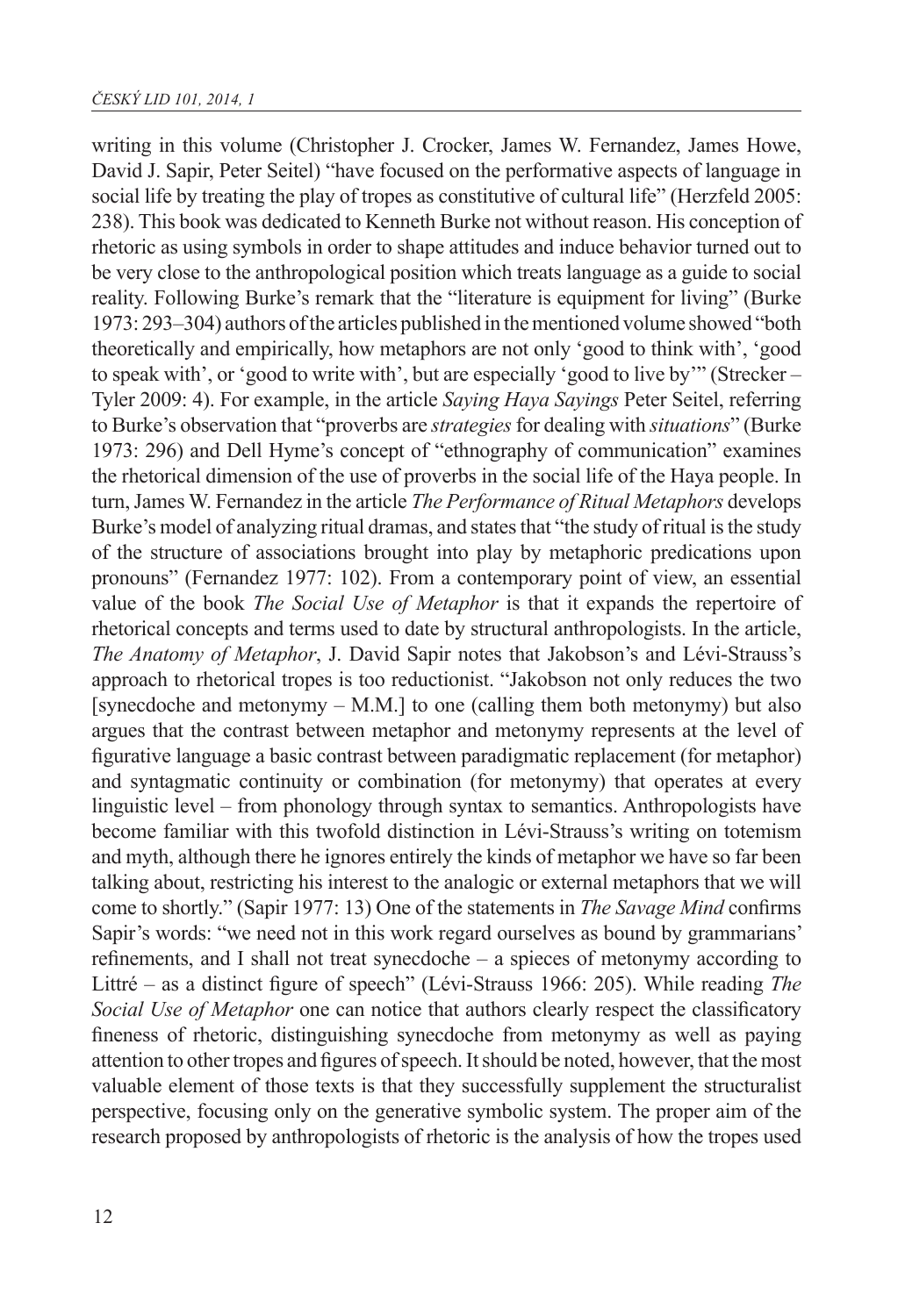writing in this volume (Christopher J. Crocker, James W. Fernandez, James Howe, David J. Sapir, Peter Seitel) "have focused on the performative aspects of language in social life by treating the play of tropes as constitutive of cultural life" (Herzfeld 2005: 238). This book was dedicated to Kenneth Burke not without reason. His conception of rhetoric as using symbols in order to shape attitudes and induce behavior turned out to be very close to the anthropological position which treats language as a guide to social reality. Following Burke's remark that the "literature is equipment for living" (Burke 1973: 293–304) authors of the articles published in the mentioned volume showed "both theoretically and empirically, how metaphors are not only 'good to think with', 'good to speak with', or 'good to write with', but are especially 'good to live by'" (Strecker – Tyler 2009: 4). For example, in the article *Saying Haya Sayings* Peter Seitel, referring to Burke's observation that "proverbs are *strategies* for dealing with *situations*" (Burke 1973: 296) and Dell Hyme's concept of "ethnography of communication" examines the rhetorical dimension of the use of proverbs in the social life of the Haya people. In turn, James W. Fernandez in the article *The Performance of Ritual Metaphors* develops Burke's model of analyzing ritual dramas, and states that "the study of ritual is the study of the structure of associations brought into play by metaphoric predications upon pronouns" (Fernandez 1977: 102). From a contemporary point of view, an essential value of the book *The Social Use of Metaphor* is that it expands the repertoire of rhetorical concepts and terms used to date by structural anthropologists. In the article, *The Anatomy of Metaphor*, J. David Sapir notes that Jakobson's and Lévi-Strauss's approach to rhetorical tropes is too reductionist. "Jakobson not only reduces the two [synecdoche and metonymy – M.M.] to one (calling them both metonymy) but also argues that the contrast between metaphor and metonymy represents at the level of figurative language a basic contrast between paradigmatic replacement (for metaphor) and syntagmatic continuity or combination (for metonymy) that operates at every linguistic level – from phonology through syntax to semantics. Anthropologists have become familiar with this twofold distinction in Lévi-Strauss's writing on totemism and myth, although there he ignores entirely the kinds of metaphor we have so far been talking about, restricting his interest to the analogic or external metaphors that we will come to shortly." (Sapir 1977: 13) One of the statements in *The Savage Mind* confirms Sapir's words: "we need not in this work regard ourselves as bound by grammarians' refinements, and I shall not treat synecdoche – a spieces of metonymy according to Littré – as a distinct figure of speech" (Lévi-Strauss 1966: 205). While reading *The Social Use of Metaphor* one can notice that authors clearly respect the classificatory fineness of rhetoric, distinguishing synecdoche from metonymy as well as paying attention to other tropes and figures of speech. It should be noted, however, that the most valuable element of those texts is that they successfully supplement the structuralist perspective, focusing only on the generative symbolic system. The proper aim of the research proposed by anthropologists of rhetoric is the analysis of how the tropes used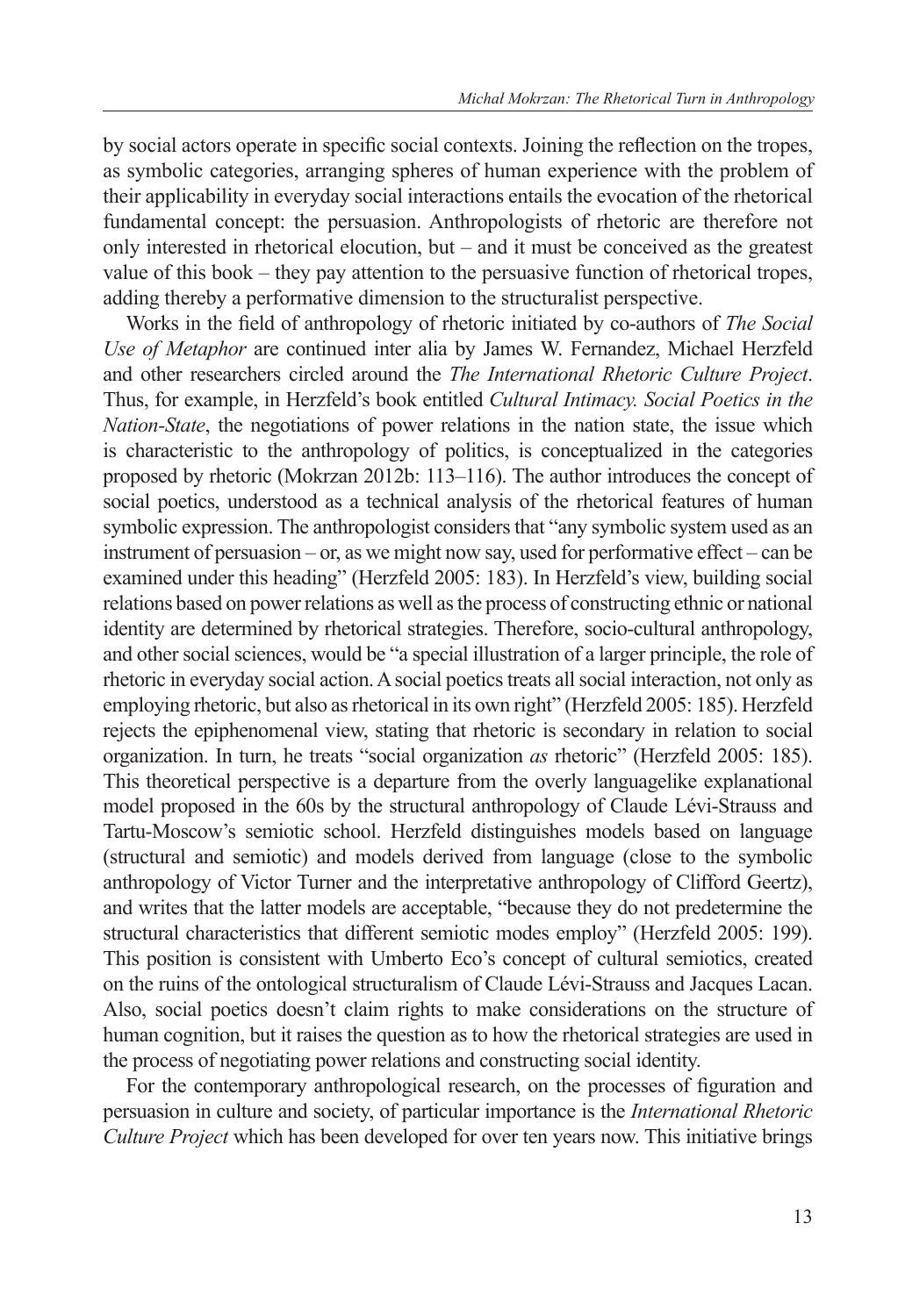by social actors operate in specific social contexts. Joining the reflection on the tropes, as symbolic categories, arranging spheres of human experience with the problem of their applicability in everyday social interactions entails the evocation of the rhetorical fundamental concept: the persuasion. Anthropologists of rhetoric are therefore not only interested in rhetorical elocution, but – and it must be conceived as the greatest value of this book – they pay attention to the persuasive function of rhetorical tropes, adding thereby a performative dimension to the structuralist perspective.

Works in the field of anthropology of rhetoric initiated by co-authors of *The Social Use of Metaphor* are continued inter alia by James W. Fernandez, Michael Herzfeld and other researchers circled around the *The International Rhetoric Culture Project*. Thus, for example, in Herzfeld's book entitled *Cultural Intimacy. Social Poetics in the Nation-State*, the negotiations of power relations in the nation state, the issue which is characteristic to the anthropology of politics, is conceptualized in the categories proposed by rhetoric (Mokrzan 2012b: 113–116). The author introduces the concept of social poetics, understood as a technical analysis of the rhetorical features of human symbolic expression. The anthropologist considers that "any symbolic system used as an instrument of persuasion – or, as we might now say, used for performative effect – can be examined under this heading" (Herzfeld 2005: 183). In Herzfeld's view, building social relations based on power relations as well as the process of constructing ethnic or national identity are determined by rhetorical strategies. Therefore, socio-cultural anthropology, and other social sciences, would be "a special illustration of a larger principle, the role of rhetoric in everyday social action. Asocial poetics treats all social interaction, not only as employing rhetoric, but also as rhetorical in its own right" (Herzfeld 2005: 185). Herzfeld rejects the epiphenomenal view, stating that rhetoric is secondary in relation to social organization. In turn, he treats "social organization *as* rhetoric" (Herzfeld 2005: 185). This theoretical perspective is a departure from the overly languagelike explanational model proposed in the 60s by the structural anthropology of Claude Lévi-Strauss and Tartu-Moscow's semiotic school. Herzfeld distinguishes models based on language (structural and semiotic) and models derived from language (close to the symbolic anthropology of Victor Turner and the interpretative anthropology of Clifford Geertz), and writes that the latter models are acceptable, "because they do not predetermine the structural characteristics that different semiotic modes employ" (Herzfeld 2005: 199). This position is consistent with Umberto Eco's concept of cultural semiotics, created on the ruins of the ontological structuralism of Claude Lévi-Strauss and Jacques Lacan. Also, social poetics doesn't claim rights to make considerations on the structure of human cognition, but it raises the question as to how the rhetorical strategies are used in the process of negotiating power relations and constructing social identity.

For the contemporary anthropological research, on the processes of figuration and persuasion in culture and society, of particular importance is the *International Rhetoric Culture Project* which has been developed for over ten years now. This initiative brings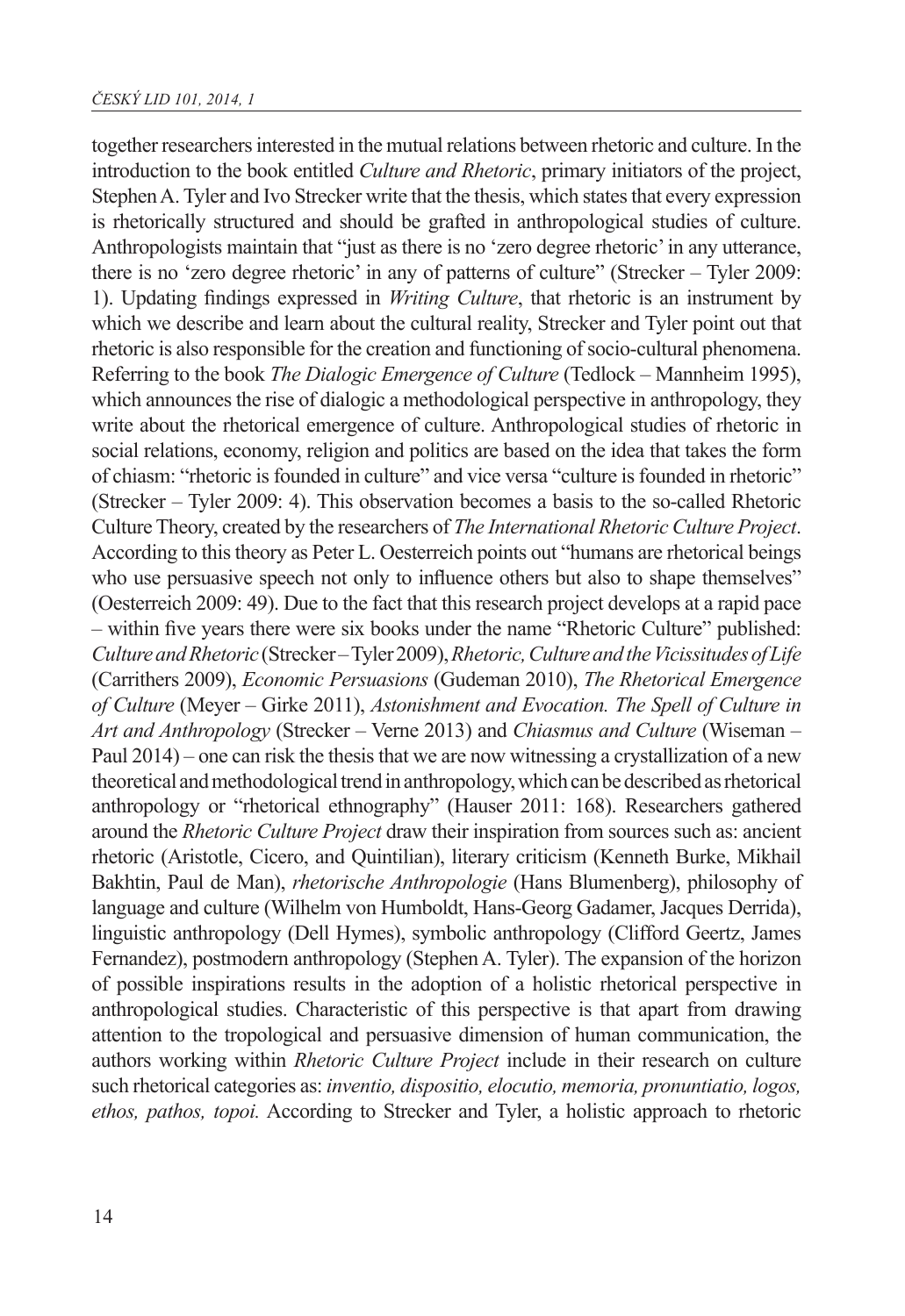together researchers interested in the mutual relations between rhetoric and culture. In the introduction to the book entitled *Culture and Rhetoric*, primary initiators of the project, Stephen A. Tyler and Ivo Strecker write that the thesis, which states that every expression is rhetorically structured and should be grafted in anthropological studies of culture. Anthropologists maintain that "just as there is no 'zero degree rhetoric' in any utterance, there is no 'zero degree rhetoric' in any of patterns of culture" (Strecker – Tyler 2009: 1). Updating findings expressed in *Writing Culture*, that rhetoric is an instrument by which we describe and learn about the cultural reality, Strecker and Tyler point out that rhetoric is also responsible for the creation and functioning of socio-cultural phenomena. Referring to the book *The Dialogic Emergence of Culture* (Tedlock – Mannheim 1995), which announces the rise of dialogic a methodological perspective in anthropology, they write about the rhetorical emergence of culture. Anthropological studies of rhetoric in social relations, economy, religion and politics are based on the idea that takes the form of chiasm: "rhetoric is founded in culture" and vice versa "culture is founded in rhetoric" (Strecker – Tyler 2009: 4). This observation becomes a basis to the so-called Rhetoric Culture Theory, created by the researchers of *The International Rhetoric Culture Project*. According to this theory as Peter L. Oesterreich points out "humans are rhetorical beings who use persuasive speech not only to influence others but also to shape themselves" (Oesterreich 2009: 49). Due to the fact that this research project develops at a rapid pace – within five years there were six books under the name "Rhetoric Culture" published: *Culture and Rhetoric* (Strecker – Tyler 2009), *Rhetoric, Culture and the Vicissitudes of Life* (Carrithers 2009), *Economic Persuasions* (Gudeman 2010), *The Rhetorical Emergence of Culture* (Meyer – Girke 2011), *Astonishment and Evocation. The Spell of Culture in Art and Anthropology* (Strecker – Verne 2013) and *Chiasmus and Culture* (Wiseman – Paul 2014) – one can risk the thesis that we are now witnessing a crystallization of a new theoretical and methodological trend in anthropology, which can be described as rhetorical anthropology or "rhetorical ethnography" (Hauser 2011: 168). Researchers gathered around the *Rhetoric Culture Project* draw their inspiration from sources such as: ancient rhetoric (Aristotle, Cicero, and Quintilian), literary criticism (Kenneth Burke, Mikhail Bakhtin, Paul de Man), *rhetorische Anthropologie* (Hans Blumenberg), philosophy of language and culture (Wilhelm von Humboldt, Hans-Georg Gadamer, Jacques Derrida), linguistic anthropology (Dell Hymes), symbolic anthropology (Clifford Geertz, James Fernandez), postmodern anthropology (Stephen A. Tyler). The expansion of the horizon of possible inspirations results in the adoption of a holistic rhetorical perspective in anthropological studies. Characteristic of this perspective is that apart from drawing attention to the tropological and persuasive dimension of human communication, the authors working within *Rhetoric Culture Project* include in their research on culture such rhetorical categories as: *inventio, dispositio, elocutio, memoria, pronuntiatio, logos, ethos, pathos, topoi.* According to Strecker and Tyler, a holistic approach to rhetoric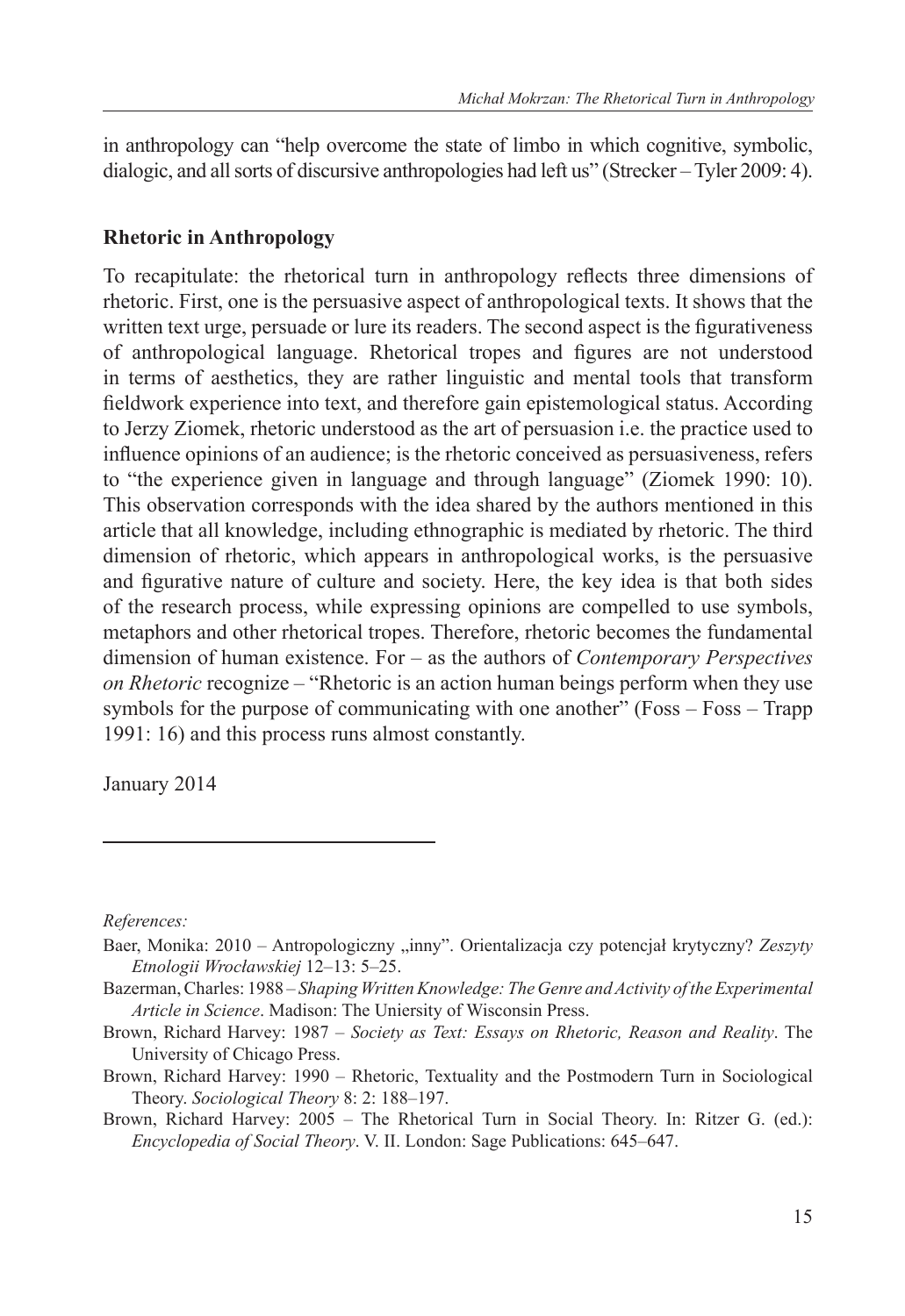in anthropology can "help overcome the state of limbo in which cognitive, symbolic, dialogic, and all sorts of discursive anthropologies had left us" (Strecker – Tyler 2009: 4).

# **Rhetoric in Anthropology**

To recapitulate: the rhetorical turn in anthropology reflects three dimensions of rhetoric. First, one is the persuasive aspect of anthropological texts. It shows that the written text urge, persuade or lure its readers. The second aspect is the figurativeness of anthropological language. Rhetorical tropes and figures are not understood in terms of aesthetics, they are rather linguistic and mental tools that transform fieldwork experience into text, and therefore gain epistemological status. According to Jerzy Ziomek, rhetoric understood as the art of persuasion i.e. the practice used to influence opinions of an audience; is the rhetoric conceived as persuasiveness, refers to "the experience given in language and through language" (Ziomek 1990: 10). This observation corresponds with the idea shared by the authors mentioned in this article that all knowledge, including ethnographic is mediated by rhetoric. The third dimension of rhetoric, which appears in anthropological works, is the persuasive and figurative nature of culture and society. Here, the key idea is that both sides of the research process, while expressing opinions are compelled to use symbols, metaphors and other rhetorical tropes. Therefore, rhetoric becomes the fundamental dimension of human existence. For – as the authors of *Contemporary Perspectives on Rhetoric* recognize *–* "Rhetoric is an action human beings perform when they use symbols for the purpose of communicating with one another" (Foss – Foss – Trapp 1991: 16) and this process runs almost constantly.

January 2014

*References:*

- Bazerman, Charles: 1988 *Shaping Written Knowledge: The Genre and Activity of the Experimental Article in Science*. Madison: The Uniersity of Wisconsin Press.
- Brown, Richard Harvey: 1987 *Society as Text: Essays on Rhetoric, Reason and Reality*. The University of Chicago Press.
- Brown, Richard Harvey: 1990 Rhetoric, Textuality and the Postmodern Turn in Sociological Theory. *Sociological Theory* 8: 2: 188–197.
- Brown, Richard Harvey: 2005 The Rhetorical Turn in Social Theory. In: Ritzer G. (ed.): *Encyclopedia of Social Theory*. V. II. London: Sage Publications: 645–647.

Baer, Monika: 2010 – Antropologiczny "inny". Orientalizacja czy potencjał krytyczny? Zeszyty *Etnologii Wrocławskiej* 12–13: 5–25.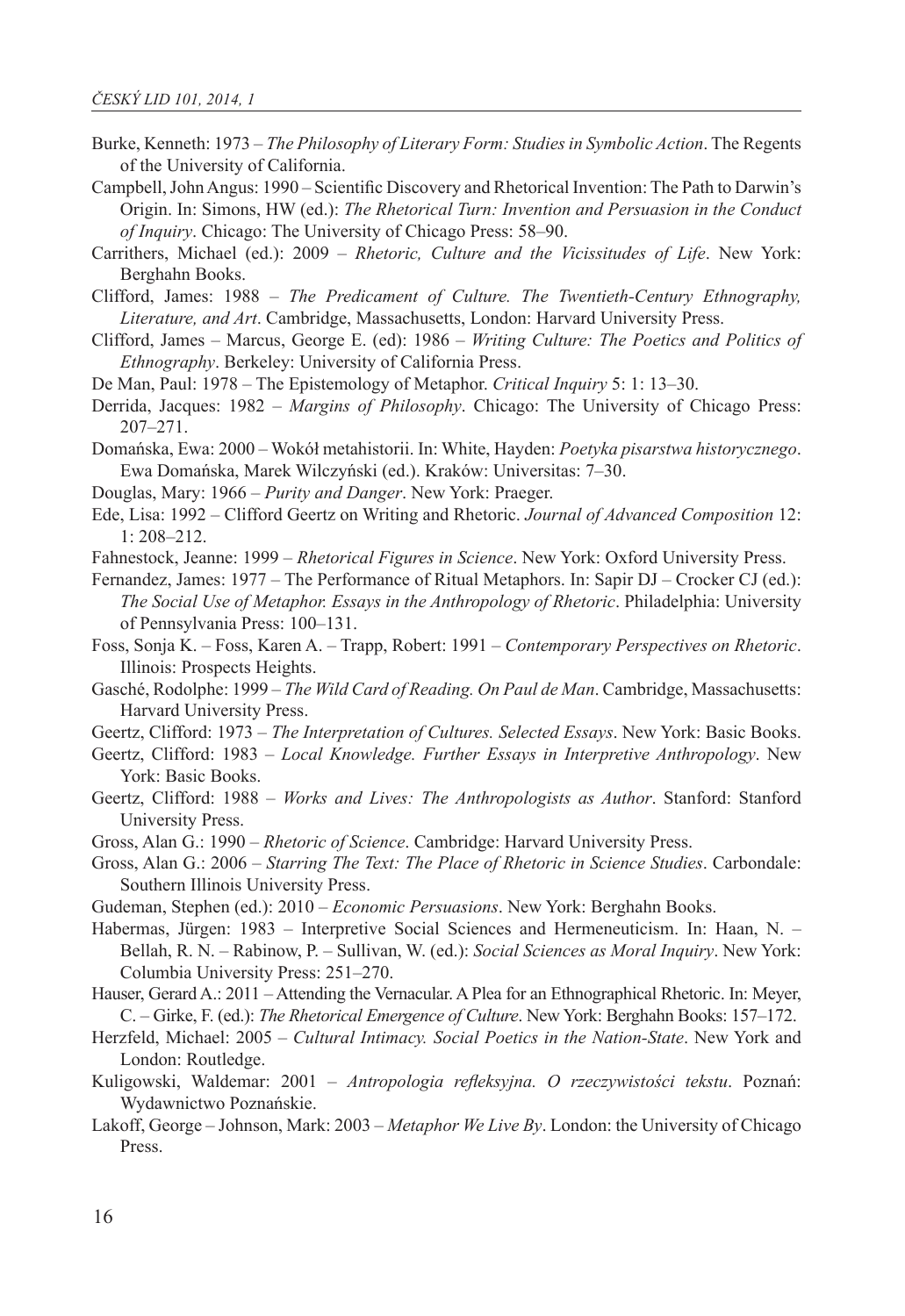- Burke, Kenneth: 1973 *The Philosophy of Literary Form: Studies in Symbolic Action*. The Regents of the University of California.
- Campbell, John Angus: 1990 Scientific Discovery and Rhetorical Invention: The Path to Darwin's Origin. In: Simons, HW (ed.): *The Rhetorical Turn: Invention and Persuasion in the Conduct of Inquiry*. Chicago: The University of Chicago Press: 58–90.
- Carrithers, Michael (ed.): 2009 *Rhetoric, Culture and the Vicissitudes of Life*. New York: Berghahn Books.
- Clifford, James: 1988 *The Predicament of Culture. The Twentieth-Century Ethnography, Literature, and Art*. Cambridge, Massachusetts, London: Harvard University Press.
- Clifford, James Marcus, George E. (ed): 1986 *Writing Culture: The Poetics and Politics of Ethnography*. Berkeley: University of California Press.
- De Man, Paul: 1978 The Epistemology of Metaphor. *Critical Inquiry* 5: 1: 13–30.
- Derrida, Jacques: 1982 *Margins of Philosophy*. Chicago: The University of Chicago Press: 207–271.
- Domańska, Ewa: 2000 Wokół metahistorii. In: White, Hayden: *Poetyka pisarstwa historycznego*. Ewa Domańska, Marek Wilczyński (ed.). Kraków: Universitas: 7–30.
- Douglas, Mary: 1966 *Purity and Danger*. New York: Praeger.
- Ede, Lisa: 1992 Clifford Geertz on Writing and Rhetoric. *Journal of Advanced Composition* 12: 1: 208–212.
- Fahnestock, Jeanne: 1999 *Rhetorical Figures in Science*. New York: Oxford University Press.
- Fernandez, James: 1977 The Performance of Ritual Metaphors. In: Sapir DJ Crocker CJ (ed.): *The Social Use of Metaphor. Essays in the Anthropology of Rhetoric*. Philadelphia: University of Pennsylvania Press: 100–131.
- Foss, Sonja K. Foss, Karen A. Trapp, Robert: 1991 *Contemporary Perspectives on Rhetoric*. Illinois: Prospects Heights.
- Gasché, Rodolphe: 1999 *The Wild Card of Reading. On Paul de Man*. Cambridge, Massachusetts: Harvard University Press.
- Geertz, Clifford: 1973 *The Interpretation of Cultures. Selected Essays*. New York: Basic Books.
- Geertz, Clifford: 1983 *Local Knowledge. Further Essays in Interpretive Anthropology*. New York: Basic Books.
- Geertz, Clifford: 1988 *Works and Lives: The Anthropologists as Author*. Stanford: Stanford University Press.
- Gross, Alan G.: 1990 *Rhetoric of Science*. Cambridge: Harvard University Press.
- Gross, Alan G.: 2006 *Starring The Text: The Place of Rhetoric in Science Studies*. Carbondale: Southern Illinois University Press.
- Gudeman, Stephen (ed.): 2010 *Economic Persuasions*. New York: Berghahn Books.
- Habermas, Jürgen: 1983 Interpretive Social Sciences and Hermeneuticism. In: Haan, N. Bellah, R. N. – Rabinow, P. – Sullivan, W. (ed.): *Social Sciences as Moral Inquiry*. New York: Columbia University Press: 251–270.
- Hauser, Gerard A.: 2011 Attending the Vernacular. A Plea for an Ethnographical Rhetoric. In: Meyer, C. – Girke, F. (ed.): *The Rhetorical Emergence of Culture*. New York: Berghahn Books: 157–172.
- Herzfeld, Michael: 2005 *Cultural Intimacy. Social Poetics in the Nation-State*. New York and London: Routledge.
- Kuligowski, Waldemar: 2001 *Antropologia refleksyjna. O rzeczywistości tekstu*. Poznań: Wydawnictwo Poznańskie.
- Lakoff, George Johnson, Mark: 2003 *Metaphor We Live By*. London: the University of Chicago Press.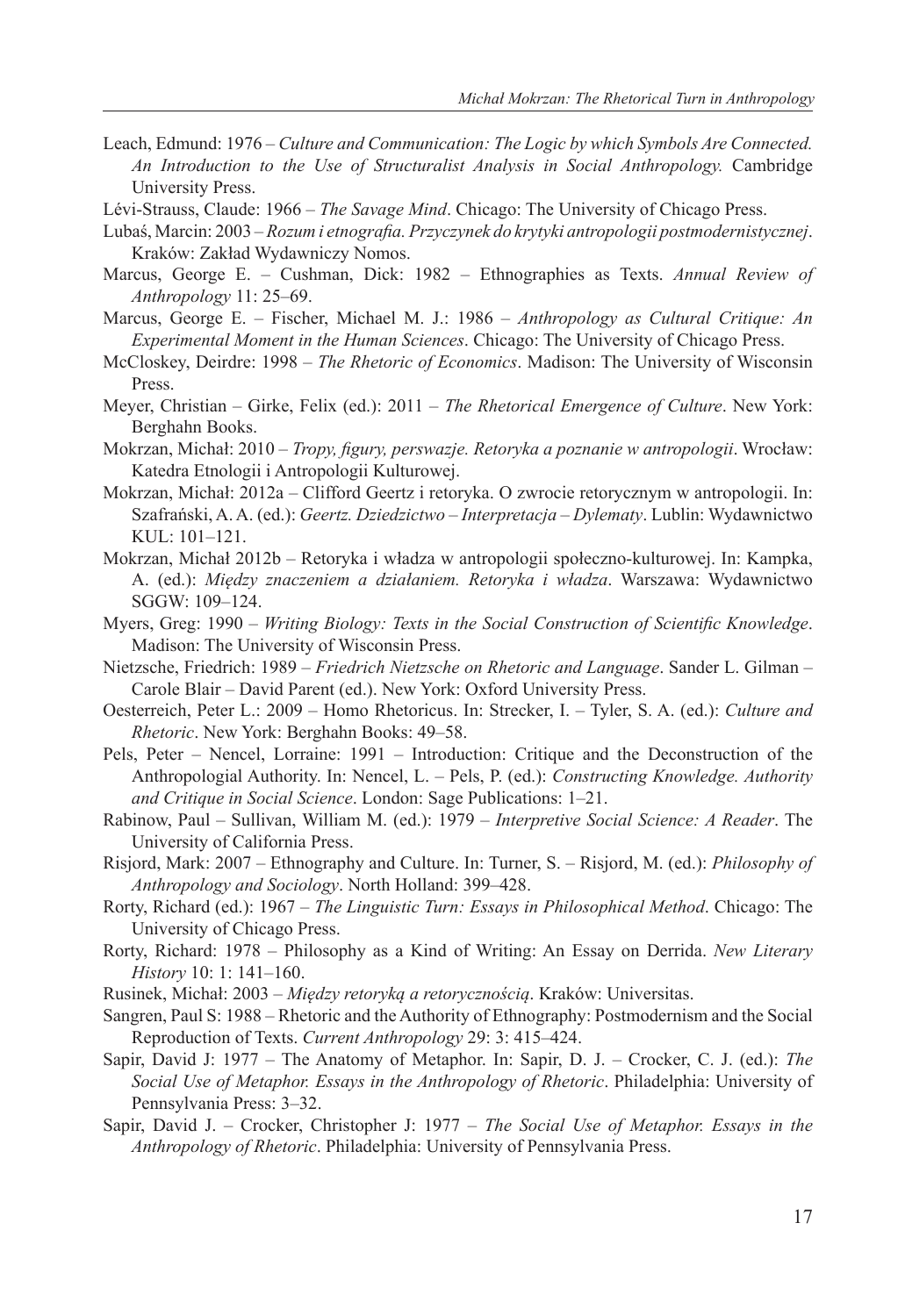- Leach, Edmund: 1976 *Culture and Communication: The Logic by which Symbols Are Connected. An Introduction to the Use of Structuralist Analysis in Social Anthropology.* Cambridge University Press.
- Lévi-Strauss, Claude: 1966 *The Savage Mind*. Chicago: The University of Chicago Press.
- Lubaś, Marcin: 2003 *Rozum i etnografia. Przyczynek do krytyki antropologii postmodernistycznej*. Kraków: Zakład Wydawniczy Nomos.
- Marcus, George E. Cushman, Dick: 1982 Ethnographies as Texts. *Annual Review of Anthropology* 11: 25–69.
- Marcus, George E. Fischer, Michael M. J.: 1986 *Anthropology as Cultural Critique: An Experimental Moment in the Human Sciences*. Chicago: The University of Chicago Press.
- McCloskey, Deirdre: 1998 *The Rhetoric of Economics*. Madison: The University of Wisconsin Press.
- Meyer, Christian Girke, Felix (ed.): 2011 *The Rhetorical Emergence of Culture*. New York: Berghahn Books.
- Mokrzan, Michał: 2010 *Tropy, figury, perswazje. Retoryka a poznanie w antropologii*. Wrocław: Katedra Etnologii i Antropologii Kulturowej.
- Mokrzan, Michał: 2012a Clifford Geertz i retoryka. O zwrocie retorycznym w antropologii. In: Szafrański, A. A. (ed.): *Geertz. Dziedzictwo – Interpretacja – Dylematy*. Lublin: Wydawnictwo KUL: 101–121.
- Mokrzan, Michał 2012b Retoryka i władza w antropologii społeczno-kulturowej. In: Kampka, A. (ed.): *Między znaczeniem a działaniem. Retoryka i władza*. Warszawa: Wydawnictwo SGGW: 109–124.
- Myers, Greg: 1990 *Writing Biology: Texts in the Social Construction of Scientific Knowledge*. Madison: The University of Wisconsin Press.
- Nietzsche, Friedrich: 1989 *Friedrich Nietzsche on Rhetoric and Language*. Sander L. Gilman Carole Blair – David Parent (ed.). New York: Oxford University Press.
- Oesterreich, Peter L.: 2009 Homo Rhetoricus. In: Strecker, I. Tyler, S. A. (ed.): *Culture and Rhetoric*. New York: Berghahn Books: 49–58.
- Pels, Peter Nencel, Lorraine: 1991 Introduction: Critique and the Deconstruction of the Anthropologial Authority. In: Nencel, L. – Pels, P. (ed.): *Constructing Knowledge. Authority and Critique in Social Science*. London: Sage Publications: 1–21.
- Rabinow, Paul Sullivan, William M. (ed.): 1979 *Interpretive Social Science: A Reader*. The University of California Press.
- Risjord, Mark: 2007 Ethnography and Culture. In: Turner, S. Risjord, M. (ed.): *Philosophy of Anthropology and Sociology*. North Holland: 399–428.
- Rorty, Richard (ed.): 1967 *The Linguistic Turn: Essays in Philosophical Method*. Chicago: The University of Chicago Press.
- Rorty, Richard: 1978 Philosophy as a Kind of Writing: An Essay on Derrida. *New Literary History* 10: 1: 141–160.
- Rusinek, Michał: 2003 *Między retoryką a retorycznością*. Kraków: Universitas.
- Sangren, Paul S: 1988 Rhetoric and the Authority of Ethnography: Postmodernism and the Social Reproduction of Texts. *Current Anthropology* 29: 3: 415–424.
- Sapir, David J: 1977 The Anatomy of Metaphor. In: Sapir, D. J. Crocker, C. J. (ed.): *The Social Use of Metaphor. Essays in the Anthropology of Rhetoric*. Philadelphia: University of Pennsylvania Press: 3–32.
- Sapir, David J. Crocker, Christopher J: 1977 *The Social Use of Metaphor. Essays in the Anthropology of Rhetoric*. Philadelphia: University of Pennsylvania Press.